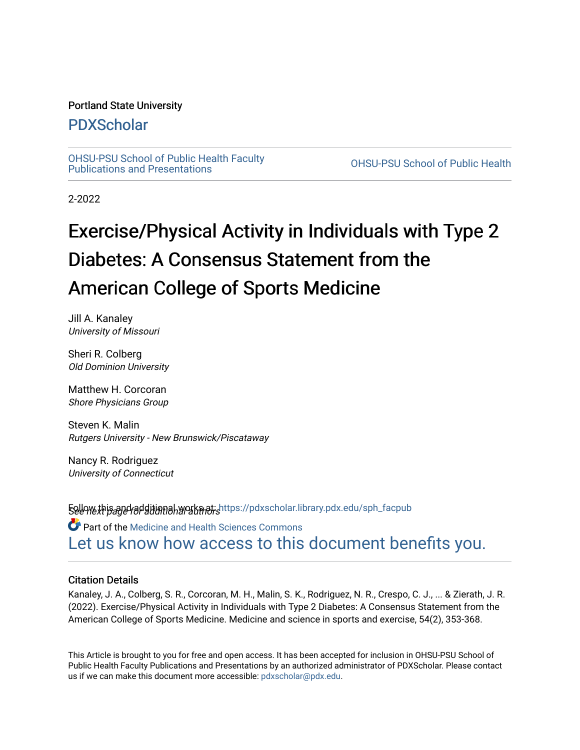### Portland State University

# [PDXScholar](https://pdxscholar.library.pdx.edu/)

[OHSU-PSU School of Public Health Faculty](https://pdxscholar.library.pdx.edu/sph_facpub) [Publications and Presentations](https://pdxscholar.library.pdx.edu/sph_facpub) [OHSU-PSU School of Public Health](https://pdxscholar.library.pdx.edu/sph) 

2-2022

# Exercise/Physical Activity in Individuals with Type 2 Diabetes: A Consensus Statement from the American College of Sports Medicine

Jill A. Kanaley University of Missouri

Sheri R. Colberg Old Dominion University

Matthew H. Corcoran Shore Physicians Group

Steven K. Malin Rutgers University - New Brunswick/Piscataway

Nancy R. Rodriguez University of Connecticut

**Follow this and additional works at: h**ttps://pdxscholar.library.pdx.edu/sph\_facpub<br>**See we***xt page for* **ditional works at: Part of the Medicine and Health Sciences Commons** [Let us know how access to this document benefits you.](http://library.pdx.edu/services/pdxscholar-services/pdxscholar-feedback/?ref=https://pdxscholar.library.pdx.edu/sph_facpub/479) 

#### Citation Details

Kanaley, J. A., Colberg, S. R., Corcoran, M. H., Malin, S. K., Rodriguez, N. R., Crespo, C. J., ... & Zierath, J. R. (2022). Exercise/Physical Activity in Individuals with Type 2 Diabetes: A Consensus Statement from the American College of Sports Medicine. Medicine and science in sports and exercise, 54(2), 353-368.

This Article is brought to you for free and open access. It has been accepted for inclusion in OHSU-PSU School of Public Health Faculty Publications and Presentations by an authorized administrator of PDXScholar. Please contact us if we can make this document more accessible: [pdxscholar@pdx.edu.](mailto:pdxscholar@pdx.edu)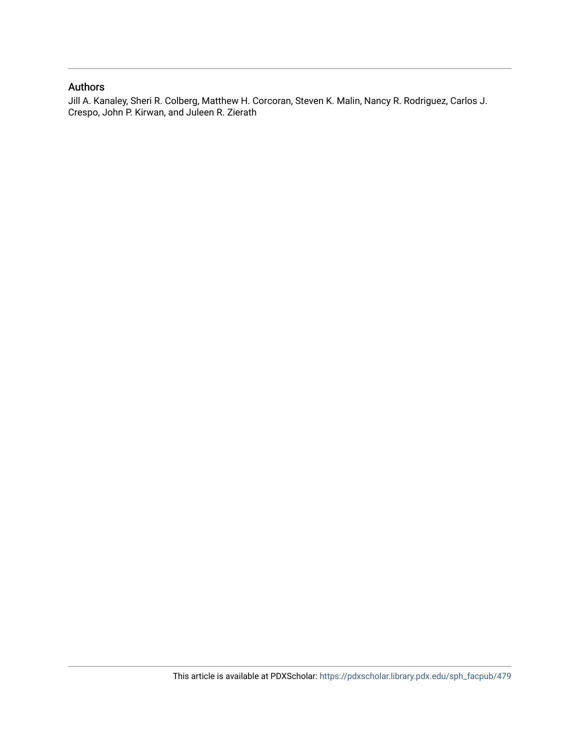### Authors

Jill A. Kanaley, Sheri R. Colberg, Matthew H. Corcoran, Steven K. Malin, Nancy R. Rodriguez, Carlos J. Crespo, John P. Kirwan, and Juleen R. Zierath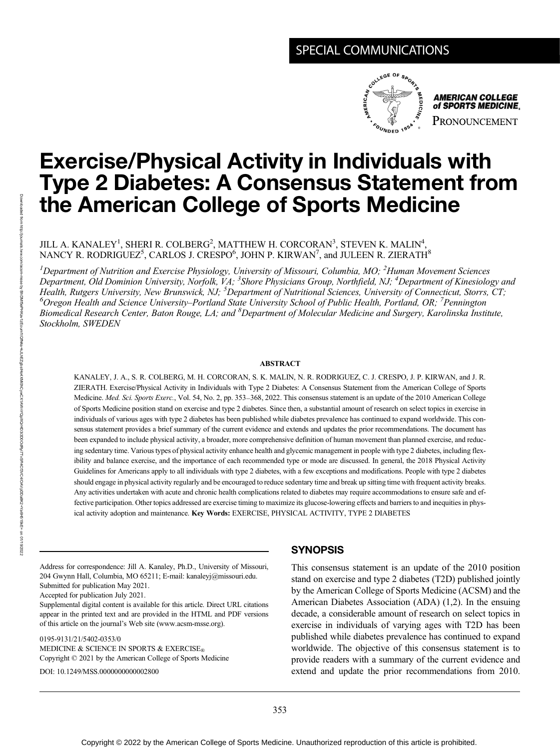# SPECIAL COMMUNICATIONS



**AMERICAN COLLEGE** of SPORTS MEDICINE. PRONOUNCEMENT

# Exercise/Physical Activity in Individuals with Type 2 Diabetes: A Consensus Statement from the American College of Sports Medicine

JILL A. KANALEY $^{\rm l}$ , SHERI R. COLBERG $^{\rm 2}$ , MATTHEW H. CORCORAN $^{\rm 3}$ , STEVEN K. MALIN $^{\rm 4}$ , NANCY R. RODRIGUEZ $^5$ , CARLOS J. CRESPO $^6$ , JOHN P. KIRWAN $^7$ , and JULEEN R. ZIERATH $^8$ 

<sup>1</sup>Department of Nutrition and Exercise Physiology, University of Missouri, Columbia, MO; <sup>2</sup>Human Movement Sciences Department, Old Dominion University, Norfolk, VA; <sup>3</sup>Shore Physicians Group, Northfield, NJ; <sup>4</sup>Department of Kinesiology and Health, Rutgers University, New Brunswick, NJ; <sup>5</sup>Department of Nutritional Sciences, University of Connecticut, Storrs, CT; <sup>6</sup>Oregon Health and Science University–Portland State University School of Public Health, Portland, OR; <sup>7</sup>Pennington Biomedical Research Center, Baton Rouge, LA; and <sup>8</sup>Department of Molecular Medicine and Surgery, Karolinska Institute, Stockholm, SWEDEN

#### ABSTRACT

KANALEY, J. A., S. R. COLBERG, M. H. CORCORAN, S. K. MALIN, N. R. RODRIGUEZ, C. J. CRESPO, J. P. KIRWAN, and J. R. ZIERATH. Exercise/Physical Activity in Individuals with Type 2 Diabetes: A Consensus Statement from the American College of Sports Medicine. Med. Sci. Sports Exerc., Vol. 54, No. 2, pp. 353-368, 2022. This consensus statement is an update of the 2010 American College of Sports Medicine position stand on exercise and type 2 diabetes. Since then, a substantial amount of research on select topics in exercise in individuals of various ages with type 2 diabetes has been published while diabetes prevalence has continued to expand worldwide. This consensus statement provides a brief summary of the current evidence and extends and updates the prior recommendations. The document has been expanded to include physical activity, a broader, more comprehensive definition of human movement than planned exercise, and reducing sedentary time. Various types of physical activity enhance health and glycemic management in people with type 2 diabetes, including flexibility and balance exercise, and the importance of each recommended type or mode are discussed. In general, the 2018 Physical Activity Guidelines for Americans apply to all individuals with type 2 diabetes, with a few exceptions and modifications. People with type 2 diabetes should engage in physical activity regularly and be encouraged to reduce sedentary time and break up sitting time with frequent activity breaks. Any activities undertaken with acute and chronic health complications related to diabetes may require accommodations to ensure safe and effective participation. Other topics addressed are exercise timing to maximize its glucose-lowering effects and barriers to and inequities in physical activity adoption and maintenance. Key Words: EXERCISE, PHYSICAL ACTIVITY, TYPE 2 DIABETES

Address for correspondence: Jill A. Kanaley, Ph.D., University of Missouri, 204 Gwynn Hall, Columbia, MO 65211; E-mail: [kanaleyj@missouri.edu](mailto:kanaleyj@missouri.edu). Submitted for publication May 2021.

Accepted for publication July 2021.

Supplemental digital content is available for this article. Direct URL citations appear in the printed text and are provided in the HTML and PDF versions of this article on the journal's Web site [\(www.acsm-msse.org\)](http://www.acsm-msse.org).

0195-9131/21/5402-0353/0 MEDICINE & SCIENCE IN SPORTS & EXERCISE® Copyright © 2021 by the American College of Sports Medicine DOI: 10.1249/MSS.0000000000002800

#### **SYNOPSIS**

This consensus statement is an update of the 2010 position stand on exercise and type 2 diabetes (T2D) published jointly by the American College of Sports Medicine (ACSM) and the American Diabetes Association (ADA) (1,2). In the ensuing decade, a considerable amount of research on select topics in exercise in individuals of varying ages with T2D has been published while diabetes prevalence has continued to expand worldwide. The objective of this consensus statement is to provide readers with a summary of the current evidence and extend and update the prior recommendations from 2010.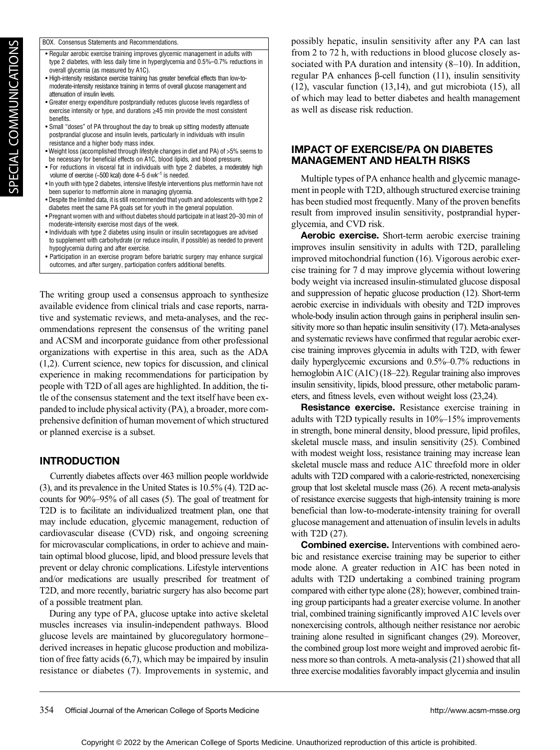| BOX. Consensus Statements and Recommendations. |
|------------------------------------------------|
|                                                |

- Regular aerobic exercise training improves glycemic management in adults with type 2 diabetes, with less daily time in hyperglycemia and 0.5%–0.7% reductions in overall glycemia (as measured by A1C). • High-intensity resistance exercise training has greater beneficial effects than low-to-
- moderate-intensity resistance training in terms of overall glucose management and attenuation of insulin levels.
- Greater energy expenditure postprandially reduces glucose levels regardless of exercise intensity or type, and durations ≥45 min provide the most consistent benefits.
- Small "doses" of PA throughout the day to break up sitting modestly attenuate postprandial glucose and insulin levels, particularly in individuals with insulin resistance and a higher body mass index.
- Weight loss (accomplished through lifestyle changes in diet and PA) of >5% seems to be necessary for beneficial effects on A1C, blood lipids, and blood pressure.
- For reductions in visceral fat in individuals with type 2 diabetes, a moderately high volume of exercise (~500 kcal) done 4–5 d·wk−<sup>1</sup> is needed.
- In youth with type 2 diabetes, intensive lifestyle interventions plus metformin have not been superior to metformin alone in managing glycemia.
- Despite the limited data, it is still recommended that youth and adolescents with type 2 diabetes meet the same PA goals set for youth in the general population.
- Pregnant women with and without diabetes should participate in at least 20–30 min of moderate-intensity exercise most days of the week.
- Individuals with type 2 diabetes using insulin or insulin secretagogues are advised to supplement with carbohydrate (or reduce insulin, if possible) as needed to prevent hypoglycemia during and after exercise.
- Participation in an exercise program before bariatric surgery may enhance surgical outcomes, and after surgery, participation confers additional benefits.

The writing group used a consensus approach to synthesize available evidence from clinical trials and case reports, narrative and systematic reviews, and meta-analyses, and the recommendations represent the consensus of the writing panel and ACSM and incorporate guidance from other professional organizations with expertise in this area, such as the ADA (1,2). Current science, new topics for discussion, and clinical experience in making recommendations for participation by people with T2D of all ages are highlighted. In addition, the title of the consensus statement and the text itself have been expanded to include physical activity (PA), a broader, more comprehensive definition of human movement of which structured or planned exercise is a subset.

#### **INTRODUCTION**

Currently diabetes affects over 463 million people worldwide (3), and its prevalence in the United States is 10.5% (4). T2D accounts for 90%–95% of all cases (5). The goal of treatment for T2D is to facilitate an individualized treatment plan, one that may include education, glycemic management, reduction of cardiovascular disease (CVD) risk, and ongoing screening for microvascular complications, in order to achieve and maintain optimal blood glucose, lipid, and blood pressure levels that prevent or delay chronic complications. Lifestyle interventions and/or medications are usually prescribed for treatment of T2D, and more recently, bariatric surgery has also become part of a possible treatment plan.

During any type of PA, glucose uptake into active skeletal muscles increases via insulin-independent pathways. Blood glucose levels are maintained by glucoregulatory hormone– derived increases in hepatic glucose production and mobilization of free fatty acids (6,7), which may be impaired by insulin resistance or diabetes (7). Improvements in systemic, and

possibly hepatic, insulin sensitivity after any PA can last from 2 to 72 h, with reductions in blood glucose closely associated with PA duration and intensity (8–10). In addition, regular PA enhances β-cell function (11), insulin sensitivity (12), vascular function (13,14), and gut microbiota (15), all of which may lead to better diabetes and health management as well as disease risk reduction.

#### IMPACT OF EXERCISE/PA ON DIABETES MANAGEMENT AND HEALTH RISKS

Multiple types of PA enhance health and glycemic management in people with T2D, although structured exercise training has been studied most frequently. Many of the proven benefits result from improved insulin sensitivity, postprandial hyperglycemia, and CVD risk.

Aerobic exercise. Short-term aerobic exercise training improves insulin sensitivity in adults with T2D, paralleling improved mitochondrial function (16). Vigorous aerobic exercise training for 7 d may improve glycemia without lowering body weight via increased insulin-stimulated glucose disposal and suppression of hepatic glucose production (12). Short-term aerobic exercise in individuals with obesity and T2D improves whole-body insulin action through gains in peripheral insulin sensitivity more so than hepatic insulin sensitivity (17). Meta-analyses and systematic reviews have confirmed that regular aerobic exercise training improves glycemia in adults with T2D, with fewer daily hyperglycemic excursions and 0.5%–0.7% reductions in hemoglobin A1C (A1C) (18–22). Regular training also improves insulin sensitivity, lipids, blood pressure, other metabolic parameters, and fitness levels, even without weight loss (23,24).

Resistance exercise. Resistance exercise training in adults with T2D typically results in 10%–15% improvements in strength, bone mineral density, blood pressure, lipid profiles, skeletal muscle mass, and insulin sensitivity (25). Combined with modest weight loss, resistance training may increase lean skeletal muscle mass and reduce A1C threefold more in older adults with T2D compared with a calorie-restricted, nonexercising group that lost skeletal muscle mass (26). A recent meta-analysis of resistance exercise suggests that high-intensity training is more beneficial than low-to-moderate-intensity training for overall glucose management and attenuation of insulin levels in adults with T2D (27).

Combined exercise. Interventions with combined aerobic and resistance exercise training may be superior to either mode alone. A greater reduction in A1C has been noted in adults with T2D undertaking a combined training program compared with either type alone (28); however, combined training group participants had a greater exercise volume. In another trial, combined training significantly improved A1C levels over nonexercising controls, although neither resistance nor aerobic training alone resulted in significant changes (29). Moreover, the combined group lost more weight and improved aerobic fitness more so than controls. A meta-analysis (21) showed that all three exercise modalities favorably impact glycemia and insulin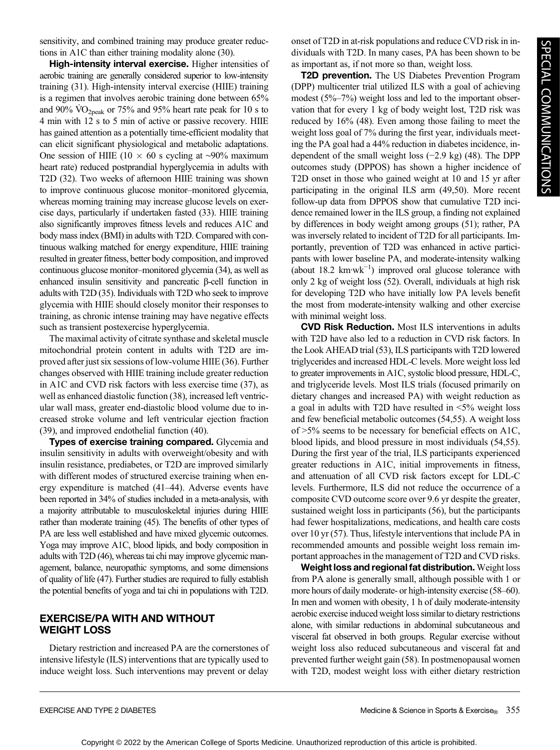sensitivity, and combined training may produce greater reductions in A1C than either training modality alone (30).

High-intensity interval exercise. Higher intensities of aerobic training are generally considered superior to low-intensity training (31). High-intensity interval exercise (HIIE) training is a regimen that involves aerobic training done between 65% and 90%  $\rm \dot{VO}_{2peak}$  or 75% and 95% heart rate peak for 10 s to 4 min with 12 s to 5 min of active or passive recovery. HIIE has gained attention as a potentially time-efficient modality that can elicit significant physiological and metabolic adaptations. One session of HIIE (10  $\times$  60 s cycling at ∼90% maximum heart rate) reduced postprandial hyperglycemia in adults with T2D (32). Two weeks of afternoon HIIE training was shown to improve continuous glucose monitor–monitored glycemia, whereas morning training may increase glucose levels on exercise days, particularly if undertaken fasted (33). HIIE training also significantly improves fitness levels and reduces A1C and body mass index (BMI) in adults with T2D. Compared with continuous walking matched for energy expenditure, HIIE training resulted in greater fitness, better body composition, and improved continuous glucose monitor–monitored glycemia (34), as well as enhanced insulin sensitivity and pancreatic β-cell function in adults with T2D (35). Individuals with T2D who seek to improve glycemia with HIIE should closely monitor their responses to training, as chronic intense training may have negative effects such as transient postexercise hyperglycemia.

The maximal activity of citrate synthase and skeletal muscle mitochondrial protein content in adults with T2D are improved after just six sessions of low-volume HIIE (36). Further changes observed with HIIE training include greater reduction in A1C and CVD risk factors with less exercise time (37), as well as enhanced diastolic function (38), increased left ventricular wall mass, greater end-diastolic blood volume due to increased stroke volume and left ventricular ejection fraction (39), and improved endothelial function (40).

Types of exercise training compared. Glycemia and insulin sensitivity in adults with overweight/obesity and with insulin resistance, prediabetes, or T2D are improved similarly with different modes of structured exercise training when energy expenditure is matched (41–44). Adverse events have been reported in 34% of studies included in a meta-analysis, with a majority attributable to musculoskeletal injuries during HIIE rather than moderate training (45). The benefits of other types of PA are less well established and have mixed glycemic outcomes. Yoga may improve A1C, blood lipids, and body composition in adults with T2D (46), whereas tai chi may improve glycemic management, balance, neuropathic symptoms, and some dimensions of quality of life (47). Further studies are required to fully establish the potential benefits of yoga and tai chi in populations with T2D.

#### EXERCISE/PA WITH AND WITHOUT WEIGHT LOSS

Dietary restriction and increased PA are the cornerstones of intensive lifestyle (ILS) interventions that are typically used to induce weight loss. Such interventions may prevent or delay

onset of T2D in at-risk populations and reduce CVD risk in individuals with T2D. In many cases, PA has been shown to be as important as, if not more so than, weight loss.

**T2D prevention.** The US Diabetes Prevention Program (DPP) multicenter trial utilized ILS with a goal of achieving modest (5%–7%) weight loss and led to the important observation that for every 1 kg of body weight lost, T2D risk was reduced by 16% (48). Even among those failing to meet the weight loss goal of 7% during the first year, individuals meeting the PA goal had a 44% reduction in diabetes incidence, independent of the small weight loss (−2.9 kg) (48). The DPP outcomes study (DPPOS) has shown a higher incidence of T2D onset in those who gained weight at 10 and 15 yr after participating in the original ILS arm (49,50). More recent follow-up data from DPPOS show that cumulative T2D incidence remained lower in the ILS group, a finding not explained by differences in body weight among groups (51); rather, PA was inversely related to incident of T2D for all participants. Importantly, prevention of T2D was enhanced in active participants with lower baseline PA, and moderate-intensity walking (about 18.2  $km·wk^{-1}$ ) improved oral glucose tolerance with only 2 kg of weight loss (52). Overall, individuals at high risk for developing T2D who have initially low PA levels benefit the most from moderate-intensity walking and other exercise with minimal weight loss.

CVD Risk Reduction. Most ILS interventions in adults with T2D have also led to a reduction in CVD risk factors. In the Look AHEAD trial (53), ILS participants with T2D lowered triglycerides and increased HDL-C levels. More weight loss led to greater improvements in A1C, systolic blood pressure, HDL-C, and triglyceride levels. Most ILS trials (focused primarily on dietary changes and increased PA) with weight reduction as a goal in adults with T2D have resulted in <5% weight loss and few beneficial metabolic outcomes (54,55). A weight loss of >5% seems to be necessary for beneficial effects on A1C, blood lipids, and blood pressure in most individuals (54,55). During the first year of the trial, ILS participants experienced greater reductions in A1C, initial improvements in fitness, and attenuation of all CVD risk factors except for LDL-C levels. Furthermore, ILS did not reduce the occurrence of a composite CVD outcome score over 9.6 yr despite the greater, sustained weight loss in participants (56), but the participants had fewer hospitalizations, medications, and health care costs over 10 yr (57). Thus, lifestyle interventions that include PA in recommended amounts and possible weight loss remain important approaches in the management of T2D and CVD risks.

Weight loss and regional fat distribution. Weight loss from PA alone is generally small, although possible with 1 or more hours of daily moderate- or high-intensity exercise (58–60). In men and women with obesity, 1 h of daily moderate-intensity aerobic exercise induced weight loss similar to dietary restrictions alone, with similar reductions in abdominal subcutaneous and visceral fat observed in both groups. Regular exercise without weight loss also reduced subcutaneous and visceral fat and prevented further weight gain (58). In postmenopausal women with T2D, modest weight loss with either dietary restriction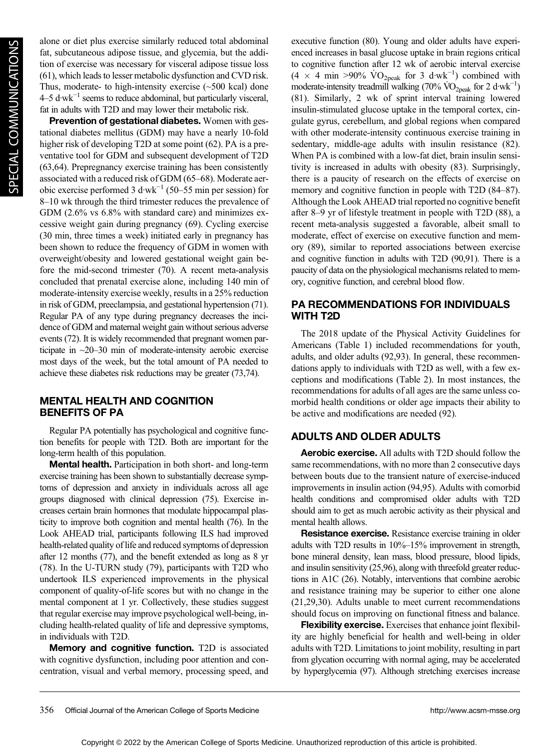alone or diet plus exercise similarly reduced total abdominal fat, subcutaneous adipose tissue, and glycemia, but the addition of exercise was necessary for visceral adipose tissue loss (61), which leads to lesser metabolic dysfunction and CVD risk. Thus, moderate- to high-intensity exercise  $(\sim 500 \text{ kcal})$  done 4–5 d·wk−<sup>1</sup> seems to reduce abdominal, but particularly visceral, fat in adults with T2D and may lower their metabolic risk.

Prevention of gestational diabetes. Women with gestational diabetes mellitus (GDM) may have a nearly 10-fold higher risk of developing T2D at some point (62). PA is a preventative tool for GDM and subsequent development of T2D (63,64). Prepregnancy exercise training has been consistently associated with a reduced risk of GDM (65–68). Moderate aerobic exercise performed 3 d·wk−<sup>1</sup> (50–55 min per session) for 8–10 wk through the third trimester reduces the prevalence of GDM (2.6% vs 6.8% with standard care) and minimizes excessive weight gain during pregnancy (69). Cycling exercise (30 min, three times a week) initiated early in pregnancy has been shown to reduce the frequency of GDM in women with overweight/obesity and lowered gestational weight gain before the mid-second trimester (70). A recent meta-analysis concluded that prenatal exercise alone, including 140 min of moderate-intensity exercise weekly, results in a 25% reduction in risk of GDM, preeclampsia, and gestational hypertension (71). Regular PA of any type during pregnancy decreases the incidence of GDM and maternal weight gain without serious adverse events (72). It is widely recommended that pregnant women participate in ~20–30 min of moderate-intensity aerobic exercise most days of the week, but the total amount of PA needed to achieve these diabetes risk reductions may be greater (73,74).

#### MENTAL HEALTH AND COGNITION BENEFITS OF PA

Regular PA potentially has psychological and cognitive function benefits for people with T2D. Both are important for the long-term health of this population.

Mental health. Participation in both short- and long-term exercise training has been shown to substantially decrease symptoms of depression and anxiety in individuals across all age groups diagnosed with clinical depression (75). Exercise increases certain brain hormones that modulate hippocampal plasticity to improve both cognition and mental health (76). In the Look AHEAD trial, participants following ILS had improved health-related quality of life and reduced symptoms of depression after 12 months (77), and the benefit extended as long as 8 yr (78). In the U-TURN study (79), participants with T2D who undertook ILS experienced improvements in the physical component of quality-of-life scores but with no change in the mental component at 1 yr. Collectively, these studies suggest that regular exercise may improve psychological well-being, including health-related quality of life and depressive symptoms, in individuals with T2D.

Memory and cognitive function. T2D is associated with cognitive dysfunction, including poor attention and concentration, visual and verbal memory, processing speed, and executive function (80). Young and older adults have experienced increases in basal glucose uptake in brain regions critical to cognitive function after 12 wk of aerobic interval exercise  $(4 \times 4 \text{ min} > 90\% \text{ VO}_{2\text{peak}} \text{ for } 3 \text{ d·wk}^{-1})$  combined with moderate-intensity treadmill walking (70%  $\rm \dot{VO}_{2peak}$  for 2 d·wk<sup>-1</sup>) (81). Similarly, 2 wk of sprint interval training lowered insulin-stimulated glucose uptake in the temporal cortex, cingulate gyrus, cerebellum, and global regions when compared with other moderate-intensity continuous exercise training in sedentary, middle-age adults with insulin resistance (82). When PA is combined with a low-fat diet, brain insulin sensitivity is increased in adults with obesity (83). Surprisingly, there is a paucity of research on the effects of exercise on memory and cognitive function in people with T2D (84–87). Although the Look AHEAD trial reported no cognitive benefit after 8–9 yr of lifestyle treatment in people with T2D (88), a recent meta-analysis suggested a favorable, albeit small to moderate, effect of exercise on executive function and memory (89), similar to reported associations between exercise and cognitive function in adults with T2D (90,91). There is a paucity of data on the physiological mechanisms related to memory, cognitive function, and cerebral blood flow.

#### PA RECOMMENDATIONS FOR INDIVIDUALS WITH T2D

The 2018 update of the Physical Activity Guidelines for Americans (Table 1) included recommendations for youth, adults, and older adults (92,93). In general, these recommendations apply to individuals with T2D as well, with a few exceptions and modifications (Table 2). In most instances, the recommendations for adults of all ages are the same unless comorbid health conditions or older age impacts their ability to be active and modifications are needed (92).

# ADULTS AND OLDER ADULTS

Aerobic exercise. All adults with T2D should follow the same recommendations, with no more than 2 consecutive days between bouts due to the transient nature of exercise-induced improvements in insulin action (94,95). Adults with comorbid health conditions and compromised older adults with T2D should aim to get as much aerobic activity as their physical and mental health allows.

Resistance exercise. Resistance exercise training in older adults with T2D results in 10%–15% improvement in strength, bone mineral density, lean mass, blood pressure, blood lipids, and insulin sensitivity (25,96), along with threefold greater reductions in A1C (26). Notably, interventions that combine aerobic and resistance training may be superior to either one alone (21,29,30). Adults unable to meet current recommendations should focus on improving on functional fitness and balance.

Flexibility exercise. Exercises that enhance joint flexibility are highly beneficial for health and well-being in older adults with T2D. Limitations to joint mobility, resulting in part from glycation occurring with normal aging, may be accelerated by hyperglycemia (97). Although stretching exercises increase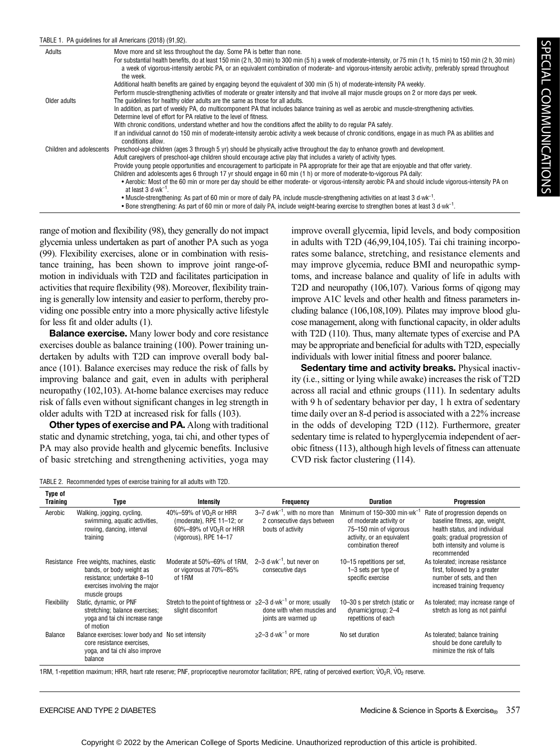#### TABLE 1. PA guidelines for all Americans (2018) (91,92).

| Adults       | Move more and sit less throughout the day. Some PA is better than none.<br>For substantial health benefits, do at least 150 min (2 h, 30 min) to 300 min (5 h) a week of moderate-intensity, or 75 min (1 h, 15 min) to 150 min (2 h, 30 min)<br>a week of vigorous-intensity aerobic PA, or an equivalent combination of moderate- and vigorous-intensity aerobic activity, preferably spread throughout<br>the week. |
|--------------|------------------------------------------------------------------------------------------------------------------------------------------------------------------------------------------------------------------------------------------------------------------------------------------------------------------------------------------------------------------------------------------------------------------------|
|              | Additional health benefits are gained by engaging beyond the equivalent of 300 min (5 h) of moderate-intensity PA weekly.                                                                                                                                                                                                                                                                                              |
|              | Perform muscle-strengthening activities of moderate or greater intensity and that involve all major muscle groups on 2 or more days per week.                                                                                                                                                                                                                                                                          |
| Older adults | The quidelines for healthy older adults are the same as those for all adults.                                                                                                                                                                                                                                                                                                                                          |
|              | In addition, as part of weekly PA, do multicomponent PA that includes balance training as well as aerobic and muscle-strengthening activities.                                                                                                                                                                                                                                                                         |
|              | Determine level of effort for PA relative to the level of fitness.                                                                                                                                                                                                                                                                                                                                                     |
|              | With chronic conditions, understand whether and how the conditions affect the ability to do regular PA safely.                                                                                                                                                                                                                                                                                                         |
|              | If an individual cannot do 150 min of moderate-intensity aerobic activity a week because of chronic conditions, engage in as much PA as abilities and<br>conditions allow.                                                                                                                                                                                                                                             |
|              | Children and adolescents Preschool-age children (ages 3 through 5 yr) should be physically active throughout the day to enhance growth and development.                                                                                                                                                                                                                                                                |
|              | Adult caregivers of preschool-age children should encourage active play that includes a variety of activity types.                                                                                                                                                                                                                                                                                                     |
|              | Provide young people opportunities and encouragement to participate in PA appropriate for their age that are enjoyable and that offer variety.                                                                                                                                                                                                                                                                         |
|              | Children and adolescents ages 6 through 17 yr should engage in 60 min (1 h) or more of moderate-to-vigorous PA daily:                                                                                                                                                                                                                                                                                                  |
|              | • Aerobic: Most of the 60 min or more per day should be either moderate- or vigorous-intensity aerobic PA and should include vigorous-intensity PA on<br>at least $3$ d wk <sup>-1</sup> .                                                                                                                                                                                                                             |
|              | • Muscle-strengthening: As part of 60 min or more of daily PA, include muscle-strengthening activities on at least 3 d wk <sup>-1</sup> .                                                                                                                                                                                                                                                                              |
|              | • Bone strengthening: As part of 60 min or more of daily PA, include weight-bearing exercise to strengthen bones at least 3 d wk <sup>-1</sup> .                                                                                                                                                                                                                                                                       |

range of motion and flexibility (98), they generally do not impact glycemia unless undertaken as part of another PA such as yoga (99). Flexibility exercises, alone or in combination with resistance training, has been shown to improve joint range-ofmotion in individuals with T2D and facilitates participation in activities that require flexibility (98). Moreover, flexibility training is generally low intensity and easier to perform, thereby providing one possible entry into a more physically active lifestyle for less fit and older adults (1).

**Balance exercise.** Many lower body and core resistance exercises double as balance training (100). Power training undertaken by adults with T2D can improve overall body balance (101). Balance exercises may reduce the risk of falls by improving balance and gait, even in adults with peripheral neuropathy (102,103). At-home balance exercises may reduce risk of falls even without significant changes in leg strength in older adults with T2D at increased risk for falls (103).

Other types of exercise and PA. Along with traditional static and dynamic stretching, yoga, tai chi, and other types of PA may also provide health and glycemic benefits. Inclusive of basic stretching and strengthening activities, yoga may improve overall glycemia, lipid levels, and body composition in adults with T2D (46,99,104,105). Tai chi training incorporates some balance, stretching, and resistance elements and may improve glycemia, reduce BMI and neuropathic symptoms, and increase balance and quality of life in adults with T2D and neuropathy (106,107). Various forms of qigong may improve A1C levels and other health and fitness parameters including balance (106,108,109). Pilates may improve blood glucose management, along with functional capacity, in older adults with T2D (110). Thus, many alternate types of exercise and PA may be appropriate and beneficial for adults with T2D, especially individuals with lower initial fitness and poorer balance.

Sedentary time and activity breaks. Physical inactivity (i.e., sitting or lying while awake) increases the risk of T2D across all racial and ethnic groups (111). In sedentary adults with 9 h of sedentary behavior per day, 1 h extra of sedentary time daily over an 8-d period is associated with a 22% increase in the odds of developing T2D (112). Furthermore, greater sedentary time is related to hyperglycemia independent of aerobic fitness (113), although high levels of fitness can attenuate CVD risk factor clustering (114).

TABLE 2. Recommended types of exercise training for all adults with T2D.

| Type of<br>Training | Type                                                                                                                                                   | Intensity                                                                                                                           | Frequency                                                                                               | <b>Duration</b>                                                                                                                             | Progression                                                                                                                                                                       |
|---------------------|--------------------------------------------------------------------------------------------------------------------------------------------------------|-------------------------------------------------------------------------------------------------------------------------------------|---------------------------------------------------------------------------------------------------------|---------------------------------------------------------------------------------------------------------------------------------------------|-----------------------------------------------------------------------------------------------------------------------------------------------------------------------------------|
| Aerobic             | Walking, jogging, cycling,<br>swimming, aquatic activities,<br>rowing, dancing, interval<br>training                                                   | 40%-59% of VO <sub>2</sub> R or HRR<br>(moderate), RPE $11-12$ ; or<br>60%-89% of VO <sub>2</sub> R or HRR<br>(vigorous), RPE 14-17 | $3-7$ d $\cdot$ wk <sup>-1</sup> , with no more than<br>2 consecutive days between<br>bouts of activity | Minimum of 150-300 min $·wk^{-1}$<br>of moderate activity or<br>75-150 min of vigorous<br>activity, or an equivalent<br>combination thereof | Rate of progression depends on<br>baseline fitness, age, weight,<br>health status, and individual<br>goals; gradual progression of<br>both intensity and volume is<br>recommended |
|                     | Resistance Free weights, machines, elastic<br>bands, or body weight as<br>resistance: undertake 8-10<br>exercises involving the major<br>muscle groups | Moderate at 50%–69% of 1RM.<br>or vigorous at 70%-85%<br>of 1RM                                                                     | $2-3$ d $\cdot$ wk <sup>-1</sup> . but never on<br>consecutive days                                     | 10-15 repetitions per set,<br>1-3 sets per type of<br>specific exercise                                                                     | As tolerated: increase resistance<br>first, followed by a greater<br>number of sets, and then<br>increased training frequency                                                     |
| Flexibility         | Static, dynamic, or PNF<br>stretching; balance exercises;<br>yoga and tai chi increase range<br>of motion                                              | Stretch to the point of tightness or $\geq 2-3$ d wk <sup>-1</sup> or more; usually<br>slight discomfort                            | done with when muscles and<br>joints are warmed up                                                      | 10-30 s per stretch (static or<br>dynamic)group; 2-4<br>repetitions of each                                                                 | As tolerated; may increase range of<br>stretch as long as not painful                                                                                                             |
| Balance             | Balance exercises: lower body and No set intensity<br>core resistance exercises.<br>yoga, and tai chi also improve<br>balance                          |                                                                                                                                     | $>2-3$ d $\cdot$ wk <sup>-1</sup> or more                                                               | No set duration                                                                                                                             | As tolerated; balance training<br>should be done carefully to<br>minimize the risk of falls                                                                                       |

1RM, 1-repetition maximum; HRR, heart rate reserve; PNF, proprioceptive neuromotor facilitation; RPE, rating of perceived exertion; VO<sub>2</sub>R, VO<sub>2</sub> reserve.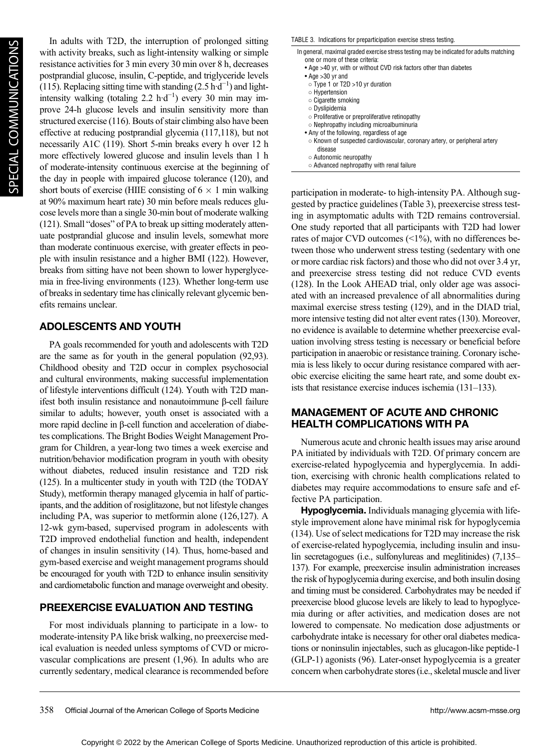In adults with T2D, the interruption of prolonged sitting with activity breaks, such as light-intensity walking or simple resistance activities for 3 min every 30 min over 8 h, decreases postprandial glucose, insulin, C-peptide, and triglyceride levels (115). Replacing sitting time with standing  $(2.5 \text{ h} \cdot \text{d}^{-1})$  and lightintensity walking (totaling 2.2 h·d−<sup>1</sup> ) every 30 min may improve 24-h glucose levels and insulin sensitivity more than structured exercise (116). Bouts of stair climbing also have been effective at reducing postprandial glycemia (117,118), but not necessarily A1C (119). Short 5-min breaks every h over 12 h more effectively lowered glucose and insulin levels than 1 h of moderate-intensity continuous exercise at the beginning of the day in people with impaired glucose tolerance (120), and short bouts of exercise (HIIE consisting of  $6 \times 1$  min walking at 90% maximum heart rate) 30 min before meals reduces glucose levels more than a single 30-min bout of moderate walking (121). Small "doses" of PA to break up sitting moderately attenuate postprandial glucose and insulin levels, somewhat more than moderate continuous exercise, with greater effects in people with insulin resistance and a higher BMI (122). However, breaks from sitting have not been shown to lower hyperglycemia in free-living environments (123). Whether long-term use of breaks in sedentary time has clinically relevant glycemic benefits remains unclear.

## ADOLESCENTS AND YOUTH

PA goals recommended for youth and adolescents with T2D are the same as for youth in the general population (92,93). Childhood obesity and T2D occur in complex psychosocial and cultural environments, making successful implementation of lifestyle interventions difficult (124). Youth with T2D manifest both insulin resistance and nonautoimmune β-cell failure similar to adults; however, youth onset is associated with a more rapid decline in β-cell function and acceleration of diabetes complications. The Bright Bodies Weight Management Program for Children, a year-long two times a week exercise and nutrition/behavior modification program in youth with obesity without diabetes, reduced insulin resistance and T2D risk (125). In a multicenter study in youth with T2D (the TODAY Study), metformin therapy managed glycemia in half of participants, and the addition of rosiglitazone, but not lifestyle changes including PA, was superior to metformin alone (126,127). A 12-wk gym-based, supervised program in adolescents with T2D improved endothelial function and health, independent of changes in insulin sensitivity (14). Thus, home-based and gym-based exercise and weight management programs should be encouraged for youth with T2D to enhance insulin sensitivity and cardiometabolic function and manage overweight and obesity.

#### PREEXERCISE EVALUATION AND TESTING

For most individuals planning to participate in a low- to moderate-intensity PA like brisk walking, no preexercise medical evaluation is needed unless symptoms of CVD or microvascular complications are present (1,96). In adults who are currently sedentary, medical clearance is recommended before TABLE 3. Indications for preparticipation exercise stress testing.

| ABLE 3. Indications for preparticipation exercise stress testing.                                                         |
|---------------------------------------------------------------------------------------------------------------------------|
| In general, maximal graded exercise stress testing may be indicated for adults matching<br>one or more of these criteria: |
| • Age >40 yr, with or without CVD risk factors other than diabetes                                                        |
| $\bullet$ Age $>30$ yr and                                                                                                |
| $\circ$ Type 1 or T2D > 10 yr duration                                                                                    |
| ○ Hypertension                                                                                                            |
| $\circ$ Cigarette smoking                                                                                                 |
| ○ Dyslipidemia                                                                                                            |
| $\circ$ Proliferative or preproliferative retinopathy                                                                     |
| $\circ$ Nephropathy including microalbuminuria                                                                            |
| • Any of the following, regardless of age                                                                                 |
| ○ Known of suspected cardiovascular, coronary artery, or peripheral artery                                                |
| disease                                                                                                                   |
| $\circ$ Autonomic neuropathy                                                                                              |

○ Advanced nephropathy with renal failure

participation in moderate- to high-intensity PA. Although suggested by practice guidelines (Table 3), preexercise stress testing in asymptomatic adults with T2D remains controversial. One study reported that all participants with T2D had lower rates of major CVD outcomes (<1%), with no differences between those who underwent stress testing (sedentary with one or more cardiac risk factors) and those who did not over 3.4 yr, and preexercise stress testing did not reduce CVD events (128). In the Look AHEAD trial, only older age was associated with an increased prevalence of all abnormalities during maximal exercise stress testing (129), and in the DIAD trial, more intensive testing did not alter event rates (130). Moreover, no evidence is available to determine whether preexercise evaluation involving stress testing is necessary or beneficial before participation in anaerobic or resistance training. Coronary ischemia is less likely to occur during resistance compared with aerobic exercise eliciting the same heart rate, and some doubt exists that resistance exercise induces ischemia (131–133).

#### MANAGEMENT OF ACUTE AND CHRONIC HEALTH COMPLICATIONS WITH PA

Numerous acute and chronic health issues may arise around PA initiated by individuals with T2D. Of primary concern are exercise-related hypoglycemia and hyperglycemia. In addition, exercising with chronic health complications related to diabetes may require accommodations to ensure safe and effective PA participation.

Hypoglycemia. Individuals managing glycemia with lifestyle improvement alone have minimal risk for hypoglycemia (134). Use of select medications for T2D may increase the risk of exercise-related hypoglycemia, including insulin and insulin secretagogues (i.e., sulfonylureas and meglitinides) (7,135– 137). For example, preexercise insulin administration increases the risk of hypoglycemia during exercise, and both insulin dosing and timing must be considered. Carbohydrates may be needed if preexercise blood glucose levels are likely to lead to hypoglycemia during or after activities, and medication doses are not lowered to compensate. No medication dose adjustments or carbohydrate intake is necessary for other oral diabetes medications or noninsulin injectables, such as glucagon-like peptide-1 (GLP-1) agonists (96). Later-onset hypoglycemia is a greater concern when carbohydrate stores (i.e., skeletal muscle and liver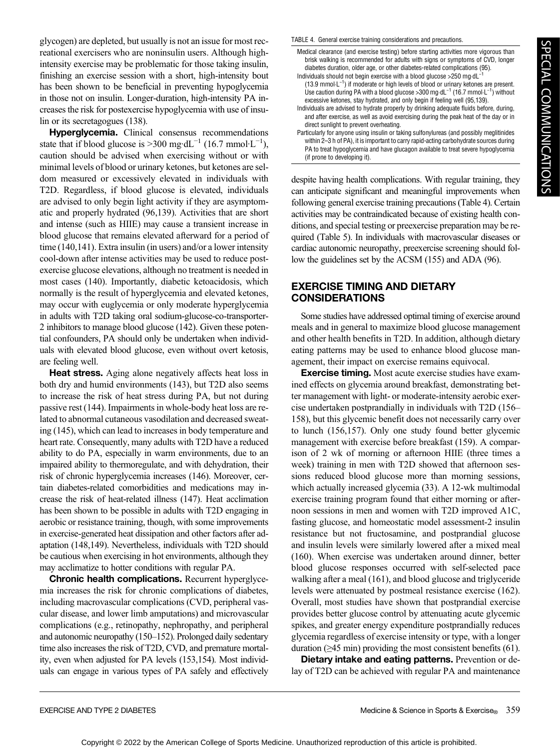glycogen) are depleted, but usually is not an issue for most recreational exercisers who are noninsulin users. Although highintensity exercise may be problematic for those taking insulin, finishing an exercise session with a short, high-intensity bout has been shown to be beneficial in preventing hypoglycemia in those not on insulin. Longer-duration, high-intensity PA increases the risk for postexercise hypoglycemia with use of insulin or its secretagogues (138).

Hyperglycemia. Clinical consensus recommendations state that if blood glucose is >300 mg·dL<sup>-1</sup> (16.7 mmol·L<sup>-1</sup>), caution should be advised when exercising without or with minimal levels of blood or urinary ketones, but ketones are seldom measured or excessively elevated in individuals with T2D. Regardless, if blood glucose is elevated, individuals are advised to only begin light activity if they are asymptomatic and properly hydrated (96,139). Activities that are short and intense (such as HIIE) may cause a transient increase in blood glucose that remains elevated afterward for a period of time (140,141). Extra insulin (in users) and/or a lower intensity cool-down after intense activities may be used to reduce postexercise glucose elevations, although no treatment is needed in most cases (140). Importantly, diabetic ketoacidosis, which normally is the result of hyperglycemia and elevated ketones, may occur with euglycemia or only moderate hyperglycemia in adults with T2D taking oral sodium-glucose-co-transporter-2 inhibitors to manage blood glucose (142). Given these potential confounders, PA should only be undertaken when individuals with elevated blood glucose, even without overt ketosis, are feeling well.

**Heat stress.** Aging alone negatively affects heat loss in both dry and humid environments (143), but T2D also seems to increase the risk of heat stress during PA, but not during passive rest (144). Impairments in whole-body heat loss are related to abnormal cutaneous vasodilation and decreased sweating (145), which can lead to increases in body temperature and heart rate. Consequently, many adults with T2D have a reduced ability to do PA, especially in warm environments, due to an impaired ability to thermoregulate, and with dehydration, their risk of chronic hyperglycemia increases (146). Moreover, certain diabetes-related comorbidities and medications may increase the risk of heat-related illness (147). Heat acclimation has been shown to be possible in adults with T2D engaging in aerobic or resistance training, though, with some improvements in exercise-generated heat dissipation and other factors after adaptation (148,149). Nevertheless, individuals with T2D should be cautious when exercising in hot environments, although they may acclimatize to hotter conditions with regular PA.

**Chronic health complications.** Recurrent hyperglycemia increases the risk for chronic complications of diabetes, including macrovascular complications (CVD, peripheral vascular disease, and lower limb amputations) and microvascular complications (e.g., retinopathy, nephropathy, and peripheral and autonomic neuropathy (150–152). Prolonged daily sedentary time also increases the risk of T2D, CVD, and premature mortality, even when adjusted for PA levels (153,154). Most individuals can engage in various types of PA safely and effectively

#### TABLE 4. General exercise training considerations and precautions.

- Medical clearance (and exercise testing) before starting activities more vigorous than brisk walking is recommended for adults with signs or symptoms of CVD, longer diabetes duration, older age, or other diabetes-related complications (95). Individuals should not begin exercise with a blood glucose >250 mg·dL−<sup>1</sup>
- (13.9 mmol·L−<sup>1</sup> ) if moderate or high levels of blood or urinary ketones are present. Use caution during PA with a blood glucose >300 mg·dL−<sup>1</sup> (16.7 mmol·L−<sup>1</sup> ) without excessive ketones, stay hydrated, and only begin if feeling well (95,139).
- Individuals are advised to hydrate properly by drinking adequate fluids before, during, and after exercise, as well as avoid exercising during the peak heat of the day or in direct sunlight to prevent overheating.
- Particularly for anyone using insulin or taking sulfonylureas (and possibly meglitinides within 2–3 h of PA), it is important to carry rapid-acting carbohydrate sources during PA to treat hypoglycemia and have glucagon available to treat severe hypoglycemia (if prone to developing it).

despite having health complications. With regular training, they can anticipate significant and meaningful improvements when following general exercise training precautions (Table 4). Certain activities may be contraindicated because of existing health conditions, and special testing or preexercise preparation may be required (Table 5). In individuals with macrovascular diseases or cardiac autonomic neuropathy, preexercise screening should follow the guidelines set by the ACSM (155) and ADA (96).

#### EXERCISE TIMING AND DIETARY CONSIDERATIONS

Some studies have addressed optimal timing of exercise around meals and in general to maximize blood glucose management and other health benefits in T2D. In addition, although dietary eating patterns may be used to enhance blood glucose management, their impact on exercise remains equivocal.

Exercise timing. Most acute exercise studies have examined effects on glycemia around breakfast, demonstrating better management with light- or moderate-intensity aerobic exercise undertaken postprandially in individuals with T2D (156– 158), but this glycemic benefit does not necessarily carry over to lunch (156,157). Only one study found better glycemic management with exercise before breakfast (159). A comparison of 2 wk of morning or afternoon HIIE (three times a week) training in men with T2D showed that afternoon sessions reduced blood glucose more than morning sessions, which actually increased glycemia (33). A 12-wk multimodal exercise training program found that either morning or afternoon sessions in men and women with T2D improved A1C, fasting glucose, and homeostatic model assessment-2 insulin resistance but not fructosamine, and postprandial glucose and insulin levels were similarly lowered after a mixed meal (160). When exercise was undertaken around dinner, better blood glucose responses occurred with self-selected pace walking after a meal (161), and blood glucose and triglyceride levels were attenuated by postmeal resistance exercise (162). Overall, most studies have shown that postprandial exercise provides better glucose control by attenuating acute glycemic spikes, and greater energy expenditure postprandially reduces glycemia regardless of exercise intensity or type, with a longer duration ( $\geq$ 45 min) providing the most consistent benefits (61).

Dietary intake and eating patterns. Prevention or delay of T2D can be achieved with regular PA and maintenance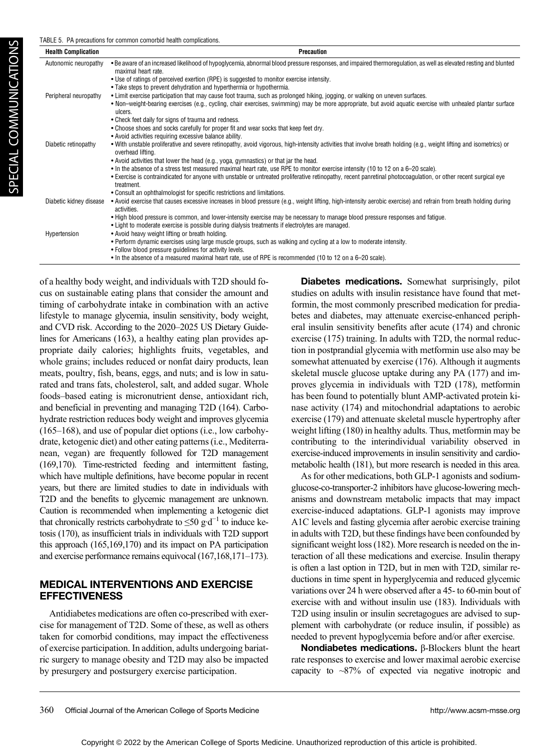| <b>Health Complication</b> | Precaution                                                                                                                                                                                |
|----------------------------|-------------------------------------------------------------------------------------------------------------------------------------------------------------------------------------------|
| Autonomic neuropathy       | . Be aware of an increased likelihood of hypoglycemia, abnormal blood pressure responses, and impaired thermoregulation, as well as elevated resting and blunted<br>maximal heart rate.   |
|                            | • Use of ratings of perceived exertion (RPE) is suggested to monitor exercise intensity.                                                                                                  |
|                            | • Take steps to prevent dehydration and hyperthermia or hypothermia.                                                                                                                      |
| Peripheral neuropathy      | • Limit exercise participation that may cause foot trauma, such as prolonged hiking, jogging, or walking on uneven surfaces.                                                              |
|                            | • Non-weight-bearing exercises (e.g., cycling, chair exercises, swimming) may be more appropriate, but avoid aquatic exercise with unhealed plantar surface<br>ulcers.                    |
|                            | • Check feet daily for signs of trauma and redness.                                                                                                                                       |
|                            | . Choose shoes and socks carefully for proper fit and wear socks that keep feet dry.                                                                                                      |
|                            | • Avoid activities requiring excessive balance ability.                                                                                                                                   |
| Diabetic retinopathy       | . With unstable proliferative and severe retinopathy, avoid vigorous, high-intensity activities that involve breath holding (e.g., weight lifting and isometrics) or<br>overhead lifting. |
|                            | • Avoid activities that lower the head (e.g., yoga, gymnastics) or that jar the head.                                                                                                     |
|                            | • In the absence of a stress test measured maximal heart rate, use RPE to monitor exercise intensity (10 to 12 on a 6–20 scale).                                                          |
|                            | • Exercise is contraindicated for anyone with unstable or untreated proliferative retinopathy, recent panretinal photocoagulation, or other recent surgical eye<br>treatment.             |
|                            | • Consult an ophthalmologist for specific restrictions and limitations.                                                                                                                   |
| Diabetic kidney disease    | • Avoid exercise that causes excessive increases in blood pressure (e.g., weight lifting, high-intensity aerobic exercise) and refrain from breath holding during<br>activities.          |
|                            | . High blood pressure is common, and lower-intensity exercise may be necessary to manage blood pressure responses and fatigue.                                                            |
|                            | • Light to moderate exercise is possible during dialysis treatments if electrolytes are managed.                                                                                          |
| Hypertension               | • Avoid heavy weight lifting or breath holding.                                                                                                                                           |
|                            | • Perform dynamic exercises using large muscle groups, such as walking and cycling at a low to moderate intensity.                                                                        |
|                            | . Follow blood pressure quidelines for activity levels.                                                                                                                                   |
|                            | • In the absence of a measured maximal heart rate, use of RPE is recommended (10 to 12 on a 6-20 scale).                                                                                  |
|                            |                                                                                                                                                                                           |

of a healthy body weight, and individuals with T2D should focus on sustainable eating plans that consider the amount and timing of carbohydrate intake in combination with an active lifestyle to manage glycemia, insulin sensitivity, body weight, and CVD risk. According to the 2020–2025 US Dietary Guidelines for Americans (163), a healthy eating plan provides appropriate daily calories; highlights fruits, vegetables, and whole grains; includes reduced or nonfat dairy products, lean meats, poultry, fish, beans, eggs, and nuts; and is low in saturated and trans fats, cholesterol, salt, and added sugar. Whole foods–based eating is micronutrient dense, antioxidant rich, and beneficial in preventing and managing T2D (164). Carbohydrate restriction reduces body weight and improves glycemia (165–168), and use of popular diet options (i.e., low carbohydrate, ketogenic diet) and other eating patterns (i.e., Mediterranean, vegan) are frequently followed for T2D management (169,170). Time-restricted feeding and intermittent fasting, which have multiple definitions, have become popular in recent years, but there are limited studies to date in individuals with T2D and the benefits to glycemic management are unknown. Caution is recommended when implementing a ketogenic diet that chronically restricts carbohydrate to  $\leq 50$  g·d<sup>-1</sup> to induce ketosis (170), as insufficient trials in individuals with T2D support this approach (165,169,170) and its impact on PA participation and exercise performance remains equivocal (167,168,171–173).

#### MEDICAL INTERVENTIONS AND EXERCISE **EFFECTIVENESS**

Antidiabetes medications are often co-prescribed with exercise for management of T2D. Some of these, as well as others taken for comorbid conditions, may impact the effectiveness of exercise participation. In addition, adults undergoing bariatric surgery to manage obesity and T2D may also be impacted by presurgery and postsurgery exercise participation.

**Diabetes medications.** Somewhat surprisingly, pilot studies on adults with insulin resistance have found that metformin, the most commonly prescribed medication for prediabetes and diabetes, may attenuate exercise-enhanced peripheral insulin sensitivity benefits after acute (174) and chronic exercise (175) training. In adults with T2D, the normal reduction in postprandial glycemia with metformin use also may be somewhat attenuated by exercise (176). Although it augments skeletal muscle glucose uptake during any PA (177) and improves glycemia in individuals with T2D (178), metformin has been found to potentially blunt AMP-activated protein kinase activity (174) and mitochondrial adaptations to aerobic exercise (179) and attenuate skeletal muscle hypertrophy after weight lifting (180) in healthy adults. Thus, metformin may be contributing to the interindividual variability observed in exercise-induced improvements in insulin sensitivity and cardiometabolic health (181), but more research is needed in this area.

As for other medications, both GLP-1 agonists and sodiumglucose-co-transporter-2 inhibitors have glucose-lowering mechanisms and downstream metabolic impacts that may impact exercise-induced adaptations. GLP-1 agonists may improve A1C levels and fasting glycemia after aerobic exercise training in adults with T2D, but these findings have been confounded by significant weight loss (182). More research is needed on the interaction of all these medications and exercise. Insulin therapy is often a last option in T2D, but in men with T2D, similar reductions in time spent in hyperglycemia and reduced glycemic variations over 24 h were observed after a 45- to 60-min bout of exercise with and without insulin use (183). Individuals with T2D using insulin or insulin secretagogues are advised to supplement with carbohydrate (or reduce insulin, if possible) as needed to prevent hypoglycemia before and/or after exercise.

Nondiabetes medications. β-Blockers blunt the heart rate responses to exercise and lower maximal aerobic exercise capacity to ~87% of expected via negative inotropic and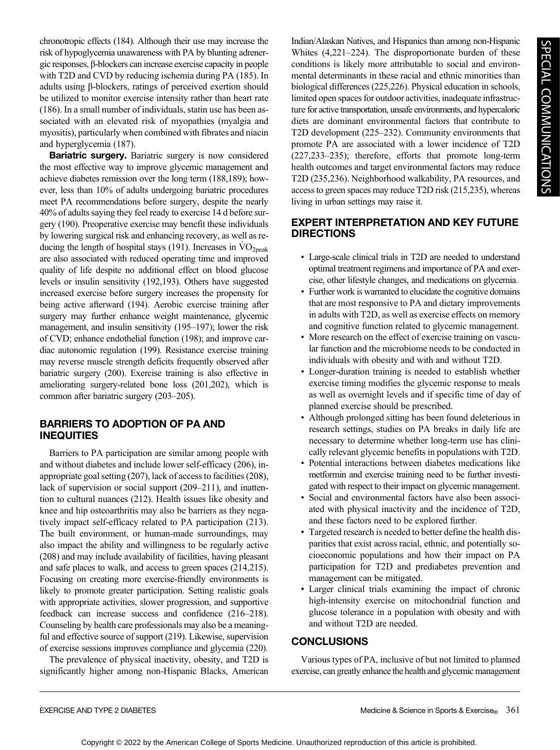chronotropic effects (184). Although their use may increase the risk of hypoglycemia unawareness with PA by blunting adrenergic responses, β-blockers can increase exercise capacity in people with T2D and CVD by reducing ischemia during PA (185). In adults using β-blockers, ratings of perceived exertion should be utilized to monitor exercise intensity rather than heart rate (186). In a small number of individuals, statin use has been associated with an elevated risk of myopathies (myalgia and myositis), particularly when combined with fibrates and niacin and hyperglycemia (187).

Bariatric surgery. Bariatric surgery is now considered the most effective way to improve glycemic management and achieve diabetes remission over the long term (188,189); however, less than 10% of adults undergoing bariatric procedures meet PA recommendations before surgery, despite the nearly 40% of adults saying they feel ready to exercise 14 d before surgery (190). Preoperative exercise may benefit these individuals by lowering surgical risk and enhancing recovery, as well as reducing the length of hospital stays (191). Increases in  $VO<sub>2peak</sub>$ are also associated with reduced operating time and improved quality of life despite no additional effect on blood glucose levels or insulin sensitivity (192,193). Others have suggested increased exercise before surgery increases the propensity for being active afterward (194). Aerobic exercise training after surgery may further enhance weight maintenance, glycemic management, and insulin sensitivity (195–197); lower the risk of CVD; enhance endothelial function (198); and improve cardiac autonomic regulation (199). Resistance exercise training may reverse muscle strength deficits frequently observed after bariatric surgery (200). Exercise training is also effective in ameliorating surgery-related bone loss (201,202), which is common after bariatric surgery (203–205).

# BARRIERS TO ADOPTION OF PA AND INEQUITIES

Barriers to PA participation are similar among people with and without diabetes and include lower self-efficacy (206), inappropriate goal setting (207), lack of access to facilities (208), lack of supervision or social support (209–211), and inattention to cultural nuances (212). Health issues like obesity and knee and hip osteoarthritis may also be barriers as they negatively impact self-efficacy related to PA participation (213). The built environment, or human-made surroundings, may also impact the ability and willingness to be regularly active (208) and may include availability of facilities, having pleasant and safe places to walk, and access to green spaces (214,215). Focusing on creating more exercise-friendly environments is likely to promote greater participation. Setting realistic goals with appropriate activities, slower progression, and supportive feedback can increase success and confidence (216–218). Counseling by health care professionals may also be a meaningful and effective source of support (219). Likewise, supervision of exercise sessions improves compliance and glycemia (220).

The prevalence of physical inactivity, obesity, and T2D is significantly higher among non-Hispanic Blacks, American Indian/Alaskan Natives, and Hispanics than among non-Hispanic Whites (4,221–224). The disproportionate burden of these conditions is likely more attributable to social and environmental determinants in these racial and ethnic minorities than biological differences (225,226). Physical education in schools, limited open spaces for outdoor activities, inadequate infrastructure for active transportation, unsafe environments, and hypercaloric diets are dominant environmental factors that contribute to T2D development (225–232). Community environments that promote PA are associated with a lower incidence of T2D (227,233–235); therefore, efforts that promote long-term health outcomes and target environmental factors may reduce T2D (235,236). Neighborhood walkability, PA resources, and access to green spaces may reduce T2D risk (215,235), whereas living in urban settings may raise it.

# EXPERT INTERPRETATION AND KEY FUTURE DIRECTIONS

- Large-scale clinical trials in T2D are needed to understand optimal treatment regimens and importance of PA and exercise, other lifestyle changes, and medications on glycemia.
- Further work is warranted to elucidate the cognitive domains that are most responsive to PA and dietary improvements in adults with T2D, as well as exercise effects on memory and cognitive function related to glycemic management.
- More research on the effect of exercise training on vascular function and the microbiome needs to be conducted in individuals with obesity and with and without T2D.
- Longer-duration training is needed to establish whether exercise timing modifies the glycemic response to meals as well as overnight levels and if specific time of day of planned exercise should be prescribed.
- Although prolonged sitting has been found deleterious in research settings, studies on PA breaks in daily life are necessary to determine whether long-term use has clinically relevant glycemic benefits in populations with T2D.
- Potential interactions between diabetes medications like metformin and exercise training need to be further investigated with respect to their impact on glycemic management.
- Social and environmental factors have also been associated with physical inactivity and the incidence of T2D, and these factors need to be explored further.
- Targeted research is needed to better define the health disparities that exist across racial, ethnic, and potentially socioeconomic populations and how their impact on PA participation for T2D and prediabetes prevention and management can be mitigated.
- Larger clinical trials examining the impact of chronic high-intensity exercise on mitochondrial function and glucose tolerance in a population with obesity and with and without T2D are needed.

# **CONCLUSIONS**

Various types of PA, inclusive of but not limited to planned exercise, can greatly enhance the health and glycemic management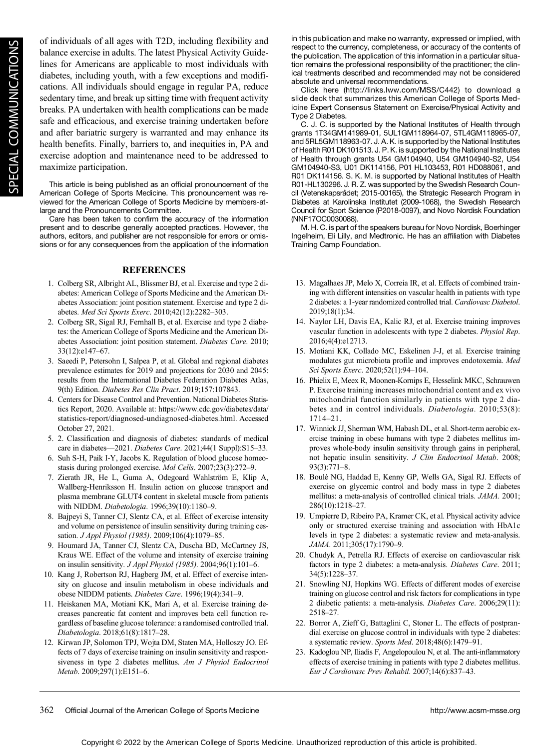of individuals of all ages with T2D, including flexibility and balance exercise in adults. The latest Physical Activity Guidelines for Americans are applicable to most individuals with diabetes, including youth, with a few exceptions and modifications. All individuals should engage in regular PA, reduce sedentary time, and break up sitting time with frequent activity breaks. PA undertaken with health complications can be made safe and efficacious, and exercise training undertaken before and after bariatric surgery is warranted and may enhance its health benefits. Finally, barriers to, and inequities in, PA and exercise adoption and maintenance need to be addressed to maximize participation.

This article is being published as an official pronouncement of the American College of Sports Medicine. This pronouncement was reviewed for the American College of Sports Medicine by members-atlarge and the Pronouncements Committee.

Care has been taken to confirm the accuracy of the information present and to describe generally accepted practices. However, the authors, editors, and publisher are not responsible for errors or omissions or for any consequences from the application of the information

#### **REFERENCES**

- 1. Colberg SR, Albright AL, Blissmer BJ, et al. Exercise and type 2 diabetes: American College of Sports Medicine and the American Diabetes Association: joint position statement. Exercise and type 2 diabetes. Med Sci Sports Exerc. 2010;42(12):2282–303.
- 2. Colberg SR, Sigal RJ, Fernhall B, et al. Exercise and type 2 diabetes: the American College of Sports Medicine and the American Diabetes Association: joint position statement. Diabetes Care. 2010; 33(12):e147–67.
- 3. Saeedi P, Petersohn I, Salpea P, et al. Global and regional diabetes prevalence estimates for 2019 and projections for 2030 and 2045: results from the International Diabetes Federation Diabetes Atlas, 9(th) Edition. Diabetes Res Clin Pract. 2019;157:107843.
- 4. Centers for Disease Control and Prevention. National Diabetes Statistics Report, 2020. Available at: [https://www.cdc.gov/diabetes/data/](https://www.cdc.gov/diabetes/data/statistics-report/diagnosed-undiagnosed-diabetes.html) [statistics-report/diagnosed-undiagnosed-diabetes.html.](https://www.cdc.gov/diabetes/data/statistics-report/diagnosed-undiagnosed-diabetes.html) Accessed October 27, 2021.
- 5. 2. Classification and diagnosis of diabetes: standards of medical care in diabetes—2021. Diabetes Care. 2021;44(1 Suppl):S15-33.
- 6. Suh S-H, Paik I-Y, Jacobs K. Regulation of blood glucose homeostasis during prolonged exercise. Mol Cells. 2007;23(3):272–9.
- 7. Zierath JR, He L, Guma A, Odegoard Wahlström E, Klip A, Wallberg-Henriksson H. Insulin action on glucose transport and plasma membrane GLUT4 content in skeletal muscle from patients with NIDDM. Diabetologia. 1996;39(10):1180–9.
- 8. Bajpeyi S, Tanner CJ, Slentz CA, et al. Effect of exercise intensity and volume on persistence of insulin sensitivity during training cessation. J Appl Physiol (1985). 2009;106(4):1079–85.
- 9. Houmard JA, Tanner CJ, Slentz CA, Duscha BD, McCartney JS, Kraus WE. Effect of the volume and intensity of exercise training on insulin sensitivity. J Appl Physiol (1985). 2004;96(1):101–6.
- 10. Kang J, Robertson RJ, Hagberg JM, et al. Effect of exercise intensity on glucose and insulin metabolism in obese individuals and obese NIDDM patients. Diabetes Care. 1996;19(4):341–9.
- 11. Heiskanen MA, Motiani KK, Mari A, et al. Exercise training decreases pancreatic fat content and improves beta cell function regardless of baseline glucose tolerance: a randomised controlled trial. Diabetologia. 2018;61(8):1817–28.
- 12. Kirwan JP, Solomon TPJ, Wojta DM, Staten MA, Holloszy JO. Effects of 7 days of exercise training on insulin sensitivity and responsiveness in type 2 diabetes mellitus. Am J Physiol Endocrinol Metab. 2009;297(1):E151–6.

in this publication and make no warranty, expressed or implied, with respect to the currency, completeness, or accuracy of the contents of the publication. The application of this information in a particular situation remains the professional responsibility of the practitioner; the clinical treatments described and recommended may not be considered absolute and universal recommendations.

Click here [\(http://links.lww.com/MSS/C442](http://links.lww.com/MSS/C442)) to download a slide deck that summarizes this American College of Sports Medicine Expert Consensus Statement on Exercise/Physical Activity and Type 2 Diabetes.

C. J. C. is supported by the National Institutes of Health through grants 1T34GM141989-01, 5UL1GM118964-07, 5TL4GM118965-07, and 5RL5GM118963-07. J. A. K. is supported by the National Institutes of Health R01 DK101513. J. P. K. is supported by the National Institutes of Health through grants U54 GM104940, U54 GM104940-S2, U54 GM104940-S3, U01 DK114156, P01 HL103453, R01 HD088061, and R01 DK114156. S. K. M. is supported by National Institutes of Health R01-HL130296. J. R. Z. was supported by the Swedish Research Council (Vetenskapsrådet; 2015-00165), the Strategic Research Program in Diabetes at Karolinska Institutet (2009-1068), the Swedish Research Council for Sport Science (P2018-0097), and Novo Nordisk Foundation (NNF17OC0030088).

M. H. C. is part of the speakers bureau for Novo Nordisk, Boerhinger Ingelheim, Eli Lilly, and Medtronic. He has an affiliation with Diabetes Training Camp Foundation.

- 13. Magalhaes JP, Melo X, Correia IR, et al. Effects of combined training with different intensities on vascular health in patients with type 2 diabetes: a 1-year randomized controlled trial. Cardiovasc Diabetol. 2019;18(1):34.
- 14. Naylor LH, Davis EA, Kalic RJ, et al. Exercise training improves vascular function in adolescents with type 2 diabetes. Physiol Rep. 2016;4(4):e12713.
- 15. Motiani KK, Collado MC, Eskelinen J-J, et al. Exercise training modulates gut microbiota profile and improves endotoxemia. Med Sci Sports Exerc. 2020;52(1):94–104.
- 16. Phielix E, Meex R, Moonen-Kornips E, Hesselink MKC, Schrauwen P. Exercise training increases mitochondrial content and ex vivo mitochondrial function similarly in patients with type 2 diabetes and in control individuals. Diabetologia. 2010;53(8): 1714–21.
- 17. Winnick JJ, Sherman WM, Habash DL, et al. Short-term aerobic exercise training in obese humans with type 2 diabetes mellitus improves whole-body insulin sensitivity through gains in peripheral, not hepatic insulin sensitivity. J Clin Endocrinol Metab. 2008; 93(3):771–8.
- 18. Boulé NG, Haddad E, Kenny GP, Wells GA, Sigal RJ. Effects of exercise on glycemic control and body mass in type 2 diabetes mellitus: a meta-analysis of controlled clinical trials. *JAMA*. 2001; 286(10):1218–27.
- 19. Umpierre D, Ribeiro PA, Kramer CK, et al. Physical activity advice only or structured exercise training and association with HbA1c levels in type 2 diabetes: a systematic review and meta-analysis. JAMA. 2011;305(17):1790–9.
- 20. Chudyk A, Petrella RJ. Effects of exercise on cardiovascular risk factors in type 2 diabetes: a meta-analysis. Diabetes Care. 2011; 34(5):1228–37.
- 21. Snowling NJ, Hopkins WG. Effects of different modes of exercise training on glucose control and risk factors for complications in type 2 diabetic patients: a meta-analysis. Diabetes Care. 2006;29(11): 2518–27.
- 22. Borror A, Zieff G, Battaglini C, Stoner L. The effects of postprandial exercise on glucose control in individuals with type 2 diabetes: a systematic review. Sports Med. 2018;48(6):1479–91.
- 23. Kadoglou NP, Iliadis F, Angelopoulou N, et al. The anti-inflammatory effects of exercise training in patients with type 2 diabetes mellitus. Eur J Cardiovasc Prev Rehabil. 2007;14(6):837–43.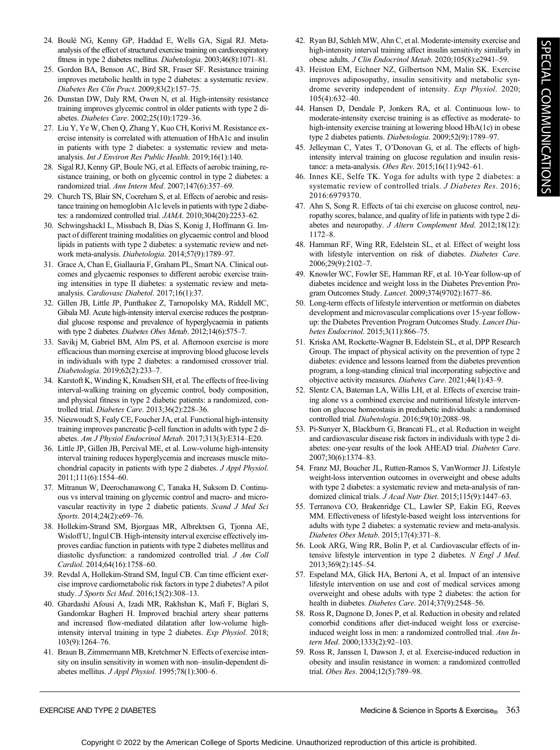- 24. Boulé NG, Kenny GP, Haddad E, Wells GA, Sigal RJ. Metaanalysis of the effect of structured exercise training on cardiorespiratory fitness in type 2 diabetes mellitus. Diabetologia. 2003;46(8):1071–81.
- 25. Gordon BA, Benson AC, Bird SR, Fraser SF. Resistance training improves metabolic health in type 2 diabetes: a systematic review. Diabetes Res Clin Pract. 2009;83(2):157–75.
- 26. Dunstan DW, Daly RM, Owen N, et al. High-intensity resistance training improves glycemic control in older patients with type 2 diabetes. Diabetes Care. 2002;25(10):1729–36.
- 27. Liu Y, Ye W, Chen Q, Zhang Y, Kuo CH, Korivi M. Resistance exercise intensity is correlated with attenuation of HbA1c and insulin in patients with type 2 diabetes: a systematic review and metaanalysis. Int J Environ Res Public Health. 2019;16(1):140.
- 28. Sigal RJ, Kenny GP, Boule NG, et al. Effects of aerobic training, resistance training, or both on glycemic control in type 2 diabetes: a randomized trial. Ann Intern Med. 2007;147(6):357–69.
- 29. Church TS, Blair SN, Cocreham S, et al. Effects of aerobic and resistance training on hemoglobin A1c levels in patients with type 2 diabetes: a randomized controlled trial. JAMA. 2010;304(20):2253–62.
- 30. Schwingshackl L, Missbach B, Dias S, Konig J, Hoffmann G. Impact of different training modalities on glycaemic control and blood lipids in patients with type 2 diabetes: a systematic review and network meta-analysis. Diabetologia. 2014;57(9):1789–97.
- 31. Grace A, Chan E, Giallauria F, Graham PL, Smart NA. Clinical outcomes and glycaemic responses to different aerobic exercise training intensities in type II diabetes: a systematic review and metaanalysis. Cardiovasc Diabetol. 2017;16(1):37.
- 32. Gillen JB, Little JP, Punthakee Z, Tarnopolsky MA, Riddell MC, Gibala MJ. Acute high-intensity interval exercise reduces the postprandial glucose response and prevalence of hyperglycaemia in patients with type 2 diabetes. Diabetes Obes Metab. 2012;14(6):575–7.
- 33. Savikj M, Gabriel BM, Alm PS, et al. Afternoon exercise is more efficacious than morning exercise at improving blood glucose levels in individuals with type 2 diabetes: a randomised crossover trial. Diabetologia. 2019;62(2):233–7.
- 34. Karstoft K, Winding K, Knudsen SH, et al. The effects of free-living interval-walking training on glycemic control, body composition, and physical fitness in type 2 diabetic patients: a randomized, controlled trial. Diabetes Care. 2013;36(2):228–36.
- 35. Nieuwoudt S, Fealy CE, Foucher JA, et al. Functional high-intensity training improves pancreatic β-cell function in adults with type 2 diabetes. Am J Physiol Endocrinol Metab. 2017;313(3):E314–E20.
- 36. Little JP, Gillen JB, Percival ME, et al. Low-volume high-intensity interval training reduces hyperglycemia and increases muscle mitochondrial capacity in patients with type 2 diabetes. J Appl Physiol. 2011;111(6):1554–60.
- 37. Mitranun W, Deerochanawong C, Tanaka H, Suksom D. Continuous vs interval training on glycemic control and macro- and microvascular reactivity in type 2 diabetic patients. Scand J Med Sci Sports. 2014;24(2):e69-76.
- 38. Hollekim-Strand SM, Bjorgaas MR, Albrektsen G, Tjonna AE, Wisloff U, Ingul CB. High-intensity interval exercise effectively improves cardiac function in patients with type 2 diabetes mellitus and diastolic dysfunction: a randomized controlled trial. J Am Coll Cardiol. 2014;64(16):1758–60.
- 39. Revdal A, Hollekim-Strand SM, Ingul CB. Can time efficient exercise improve cardiometabolic risk factors in type 2 diabetes? A pilot study. J Sports Sci Med. 2016;15(2):308–13.
- 40. Ghardashi Afousi A, Izadi MR, Rakhshan K, Mafi F, Biglari S, Gandomkar Bagheri H. Improved brachial artery shear patterns and increased flow-mediated dilatation after low-volume highintensity interval training in type 2 diabetes. Exp Physiol. 2018; 103(9):1264–76.
- 41. Braun B, Zimmermann MB, Kretchmer N. Effects of exercise intensity on insulin sensitivity in women with non–insulin-dependent diabetes mellitus. J Appl Physiol. 1995;78(1):300–6.
- 42. Ryan BJ, Schleh MW, Ahn C, et al. Moderate-intensity exercise and high-intensity interval training affect insulin sensitivity similarly in obese adults. J Clin Endocrinol Metab. 2020;105(8):e2941–59.
- 43. Heiston EM, Eichner NZ, Gilbertson NM, Malin SK. Exercise improves adiposopathy, insulin sensitivity and metabolic syndrome severity independent of intensity. Exp Physiol. 2020; 105(4):632–40.
- 44. Hansen D, Dendale P, Jonkers RA, et al. Continuous low- to moderate-intensity exercise training is as effective as moderate- to high-intensity exercise training at lowering blood HbA(1c) in obese type 2 diabetes patients. Diabetologia. 2009;52(9):1789–97.
- 45. Jelleyman C, Yates T, O'Donovan G, et al. The effects of highintensity interval training on glucose regulation and insulin resistance: a meta-analysis. Obes Rev. 2015;16(11):942–61.
- 46. Innes KE, Selfe TK. Yoga for adults with type 2 diabetes: a systematic review of controlled trials. J Diabetes Res. 2016; 2016:6979370.
- 47. Ahn S, Song R. Effects of tai chi exercise on glucose control, neuropathy scores, balance, and quality of life in patients with type 2 diabetes and neuropathy. J Altern Complement Med. 2012;18(12): 1172–8.
- 48. Hamman RF, Wing RR, Edelstein SL, et al. Effect of weight loss with lifestyle intervention on risk of diabetes. Diabetes Care. 2006;29(9):2102–7.
- 49. Knowler WC, Fowler SE, Hamman RF, et al. 10-Year follow-up of diabetes incidence and weight loss in the Diabetes Prevention Program Outcomes Study. Lancet. 2009;374(9702):1677–86.
- 50. Long-term effects of lifestyle intervention or metformin on diabetes development and microvascular complications over 15-year followup: the Diabetes Prevention Program Outcomes Study. Lancet Diabetes Endocrinol. 2015;3(11):866–75.
- 51. Kriska AM, Rockette-Wagner B, Edelstein SL, et al, DPP Research Group. The impact of physical activity on the prevention of type 2 diabetes: evidence and lessons learned from the diabetes prevention program, a long-standing clinical trial incorporating subjective and objective activity measures. Diabetes Care. 2021;44(1):43–9.
- 52. Slentz CA, Bateman LA, Willis LH, et al. Effects of exercise training alone vs a combined exercise and nutritional lifestyle intervention on glucose homeostasis in prediabetic individuals: a randomised controlled trial. Diabetologia. 2016;59(10):2088–98.
- 53. Pi-Sunyer X, Blackburn G, Brancati FL, et al. Reduction in weight and cardiovascular disease risk factors in individuals with type 2 diabetes: one-year results of the look AHEAD trial. Diabetes Care. 2007;30(6):1374–83.
- 54. Franz MJ, Boucher JL, Rutten-Ramos S, VanWormer JJ. Lifestyle weight-loss intervention outcomes in overweight and obese adults with type 2 diabetes: a systematic review and meta-analysis of randomized clinical trials. J Acad Nutr Diet. 2015;115(9):1447–63.
- 55. Terranova CO, Brakenridge CL, Lawler SP, Eakin EG, Reeves MM. Effectiveness of lifestyle-based weight loss interventions for adults with type 2 diabetes: a systematic review and meta-analysis. Diabetes Obes Metab. 2015;17(4):371–8.
- 56. Look ARG, Wing RR, Bolin P, et al. Cardiovascular effects of intensive lifestyle intervention in type 2 diabetes. N Engl J Med. 2013;369(2):145–54.
- 57. Espeland MA, Glick HA, Bertoni A, et al. Impact of an intensive lifestyle intervention on use and cost of medical services among overweight and obese adults with type 2 diabetes: the action for health in diabetes. Diabetes Care. 2014;37(9):2548-56.
- 58. Ross R, Dagnone D, Jones P, et al. Reduction in obesity and related comorbid conditions after diet-induced weight loss or exerciseinduced weight loss in men: a randomized controlled trial. Ann Intern Med. 2000;1333(2):92–103.
- 59. Ross R, Janssen I, Dawson J, et al. Exercise-induced reduction in obesity and insulin resistance in women: a randomized controlled trial. Obes Res. 2004;12(5):789–98.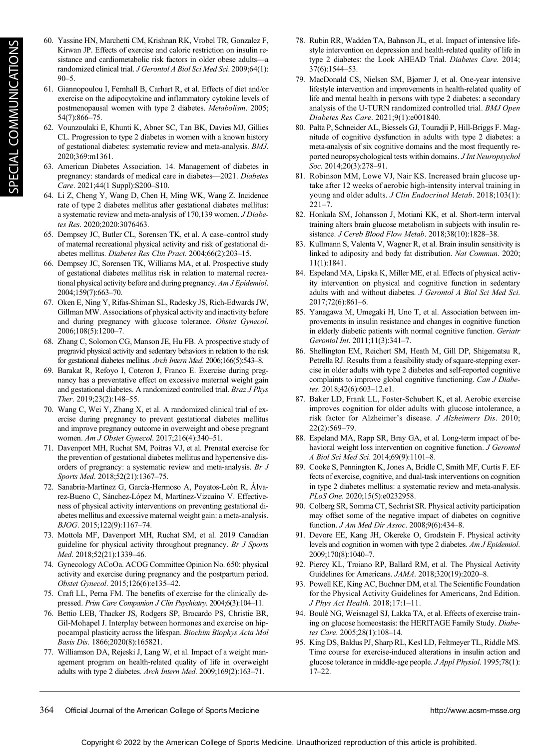- 60. Yassine HN, Marchetti CM, Krishnan RK, Vrobel TR, Gonzalez F, Kirwan JP. Effects of exercise and caloric restriction on insulin resistance and cardiometabolic risk factors in older obese adults—a randomized clinical trial. J Gerontol A Biol Sci Med Sci. 2009;64(1):  $90 - 5$ .
- 61. Giannopoulou I, Fernhall B, Carhart R, et al. Effects of diet and/or exercise on the adipocytokine and inflammatory cytokine levels of postmenopausal women with type 2 diabetes. Metabolism. 2005; 54(7):866–75.
- 62. Vounzoulaki E, Khunti K, Abner SC, Tan BK, Davies MJ, Gillies CL. Progression to type 2 diabetes in women with a known history of gestational diabetes: systematic review and meta-analysis. BMJ. 2020;369:m1361.
- 63. American Diabetes Association. 14. Management of diabetes in pregnancy: standards of medical care in diabetes—2021. Diabetes Care. 2021;44(1 Suppl):S200–S10.
- 64. Li Z, Cheng Y, Wang D, Chen H, Ming WK, Wang Z. Incidence rate of type 2 diabetes mellitus after gestational diabetes mellitus: a systematic review and meta-analysis of 170,139 women. J Diabetes Res. 2020;2020:3076463.
- 65. Dempsey JC, Butler CL, Sorensen TK, et al. A case–control study of maternal recreational physical activity and risk of gestational diabetes mellitus. Diabetes Res Clin Pract. 2004;66(2):203–15.
- 66. Dempsey JC, Sorensen TK, Williams MA, et al. Prospective study of gestational diabetes mellitus risk in relation to maternal recreational physical activity before and during pregnancy. Am J Epidemiol. 2004;159(7):663–70.
- 67. Oken E, Ning Y, Rifas-Shiman SL, Radesky JS, Rich-Edwards JW, Gillman MW. Associations of physical activity and inactivity before and during pregnancy with glucose tolerance. Obstet Gynecol. 2006;108(5):1200–7.
- 68. Zhang C, Solomon CG, Manson JE, Hu FB. A prospective study of pregravid physical activity and sedentary behaviors in relation to the risk for gestational diabetes mellitus. Arch Intern Med. 2006;166(5):543–8.
- 69. Barakat R, Refoyo I, Coteron J, Franco E. Exercise during pregnancy has a preventative effect on excessive maternal weight gain and gestational diabetes. A randomized controlled trial. Braz J Phys Ther. 2019;23(2):148–55.
- 70. Wang C, Wei Y, Zhang X, et al. A randomized clinical trial of exercise during pregnancy to prevent gestational diabetes mellitus and improve pregnancy outcome in overweight and obese pregnant women. Am J Obstet Gynecol. 2017;216(4):340–51.
- 71. Davenport MH, Ruchat SM, Poitras VJ, et al. Prenatal exercise for the prevention of gestational diabetes mellitus and hypertensive disorders of pregnancy: a systematic review and meta-analysis. Br J Sports Med. 2018;52(21):1367–75.
- 72. Sanabria-Martínez G, García-Hermoso A, Poyatos-León R, Álvarez-Bueno C, Sánchez-López M, Martínez-Vizcaíno V. Effectiveness of physical activity interventions on preventing gestational diabetes mellitus and excessive maternal weight gain: a meta-analysis. BJOG. 2015;122(9):1167–74.
- 73. Mottola MF, Davenport MH, Ruchat SM, et al. 2019 Canadian guideline for physical activity throughout pregnancy. Br J Sports Med. 2018;52(21):1339–46.
- 74. Gynecology ACoOa. ACOG Committee Opinion No. 650: physical activity and exercise during pregnancy and the postpartum period. Obstet Gynecol. 2015;126(6):e135–42.
- 75. Craft LL, Perna FM. The benefits of exercise for the clinically depressed. Prim Care Companion J Clin Psychiatry. 2004;6(3):104–11.
- 76. Bettio LEB, Thacker JS, Rodgers SP, Brocardo PS, Christie BR, Gil-Mohapel J. Interplay between hormones and exercise on hippocampal plasticity across the lifespan. Biochim Biophys Acta Mol Basis Dis. 1866;2020(8):165821.
- 77. Williamson DA, Rejeski J, Lang W, et al. Impact of a weight management program on health-related quality of life in overweight adults with type 2 diabetes. Arch Intern Med. 2009;169(2):163–71.
- 78. Rubin RR, Wadden TA, Bahnson JL, et al. Impact of intensive lifestyle intervention on depression and health-related quality of life in type 2 diabetes: the Look AHEAD Trial. Diabetes Care. 2014; 37(6):1544–53.
- 79. MacDonald CS, Nielsen SM, Bjørner J, et al. One-year intensive lifestyle intervention and improvements in health-related quality of life and mental health in persons with type 2 diabetes: a secondary analysis of the U-TURN randomized controlled trial. BMJ Open Diabetes Res Care. 2021;9(1):e001840.
- 80. Palta P, Schneider AL, Biessels GJ, Touradji P, Hill-Briggs F. Magnitude of cognitive dysfunction in adults with type 2 diabetes: a meta-analysis of six cognitive domains and the most frequently reported neuropsychological tests within domains. J Int Neuropsychol Soc. 2014;20(3):278-91.
- 81. Robinson MM, Lowe VJ, Nair KS. Increased brain glucose uptake after 12 weeks of aerobic high-intensity interval training in young and older adults. J Clin Endocrinol Metab. 2018;103(1): 221–7.
- 82. Honkala SM, Johansson J, Motiani KK, et al. Short-term interval training alters brain glucose metabolism in subjects with insulin resistance. J Cereb Blood Flow Metab. 2018;38(10):1828–38.
- 83. Kullmann S, Valenta V, Wagner R, et al. Brain insulin sensitivity is linked to adiposity and body fat distribution. Nat Commun. 2020; 11(1):1841.
- 84. Espeland MA, Lipska K, Miller ME, et al. Effects of physical activity intervention on physical and cognitive function in sedentary adults with and without diabetes. J Gerontol A Biol Sci Med Sci. 2017;72(6):861–6.
- 85. Yanagawa M, Umegaki H, Uno T, et al. Association between improvements in insulin resistance and changes in cognitive function in elderly diabetic patients with normal cognitive function. Geriatr Gerontol Int. 2011;11(3):341–7.
- 86. Shellington EM, Reichert SM, Heath M, Gill DP, Shigematsu R, Petrella RJ. Results from a feasibility study of square-stepping exercise in older adults with type 2 diabetes and self-reported cognitive complaints to improve global cognitive functioning. Can J Diabetes. 2018;42(6):603–12.e1.
- 87. Baker LD, Frank LL, Foster-Schubert K, et al. Aerobic exercise improves cognition for older adults with glucose intolerance, a risk factor for Alzheimer's disease. J Alzheimers Dis. 2010; 22(2):569–79.
- 88. Espeland MA, Rapp SR, Bray GA, et al. Long-term impact of behavioral weight loss intervention on cognitive function. J Gerontol A Biol Sci Med Sci. 2014;69(9):1101–8.
- 89. Cooke S, Pennington K, Jones A, Bridle C, Smith MF, Curtis F. Effects of exercise, cognitive, and dual-task interventions on cognition in type 2 diabetes mellitus: a systematic review and meta-analysis. PLoS One. 2020;15(5):e0232958.
- 90. Colberg SR, Somma CT, Sechrist SR. Physical activity participation may offset some of the negative impact of diabetes on cognitive function. J Am Med Dir Assoc. 2008;9(6):434–8.
- 91. Devore EE, Kang JH, Okereke O, Grodstein F. Physical activity levels and cognition in women with type 2 diabetes. Am J Epidemiol. 2009;170(8):1040–7.
- 92. Piercy KL, Troiano RP, Ballard RM, et al. The Physical Activity Guidelines for Americans. JAMA. 2018;320(19):2020–8.
- 93. Powell KE, King AC, Buchner DM, et al. The Scientific Foundation for the Physical Activity Guidelines for Americans, 2nd Edition. J Phys Act Health. 2018;17:1–11.
- 94. Boulé NG, Weisnagel SJ, Lakka TA, et al. Effects of exercise training on glucose homeostasis: the HERITAGE Family Study. Diabetes Care. 2005;28(1):108–14.
- 95. King DS, Baldus PJ, Sharp RL, Kesl LD, Feltmeyer TL, Riddle MS. Time course for exercise-induced alterations in insulin action and glucose tolerance in middle-age people. J Appl Physiol. 1995;78(1): 17–22.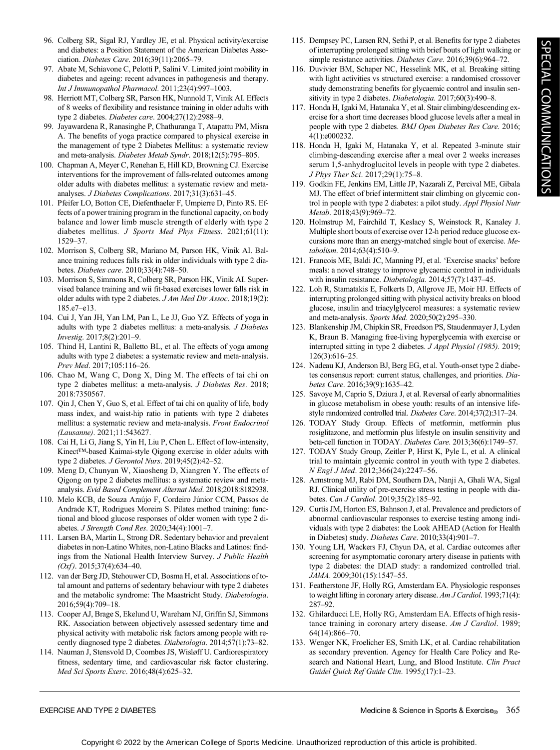- 96. Colberg SR, Sigal RJ, Yardley JE, et al. Physical activity/exercise and diabetes: a Position Statement of the American Diabetes Association. Diabetes Care. 2016;39(11):2065–79.
- 97. Abate M, Schiavone C, Pelotti P, Salini V. Limited joint mobility in diabetes and ageing: recent advances in pathogenesis and therapy. Int J Immunopathol Pharmacol. 2011;23(4):997–1003.
- 98. Herriott MT, Colberg SR, Parson HK, Nunnold T, Vinik AI. Effects of 8 weeks of flexibility and resistance training in older adults with type 2 diabetes. Diabetes care. 2004;27(12):2988–9.
- 99. Jayawardena R, Ranasinghe P, Chathuranga T, Atapattu PM, Misra A. The benefits of yoga practice compared to physical exercise in the management of type 2 Diabetes Mellitus: a systematic review and meta-analysis. Diabetes Metab Syndr. 2018;12(5):795–805.
- 100. Chapman A, Meyer C, Renehan E, Hill KD, Browning CJ. Exercise interventions for the improvement of falls-related outcomes among older adults with diabetes mellitus: a systematic review and metaanalyses. J Diabetes Complications. 2017;31(3):631–45.
- 101. Pfeifer LO, Botton CE, Diefenthaeler F, Umpierre D, Pinto RS. Effects of a power training program in the functional capacity, on body balance and lower limb muscle strength of elderly with type 2 diabetes mellitus. J Sports Med Phys Fitness. 2021;61(11): 1529–37.
- 102. Morrison S, Colberg SR, Mariano M, Parson HK, Vinik AI. Balance training reduces falls risk in older individuals with type 2 diabetes. Diabetes care. 2010;33(4):748–50.
- 103. Morrison S, Simmons R, Colberg SR, Parson HK, Vinik AI. Supervised balance training and wii fit-based exercises lower falls risk in older adults with type 2 diabetes. J Am Med Dir Assoc. 2018;19(2): 185.e7–e13.
- 104. Cui J, Yan JH, Yan LM, Pan L, Le JJ, Guo YZ. Effects of yoga in adults with type 2 diabetes mellitus: a meta-analysis. J Diabetes Investig. 2017;8(2):201–9.
- 105. Thind H, Lantini R, Balletto BL, et al. The effects of yoga among adults with type 2 diabetes: a systematic review and meta-analysis. Prev Med. 2017;105:116–26.
- 106. Chao M, Wang C, Dong X, Ding M. The effects of tai chi on type 2 diabetes mellitus: a meta-analysis. J Diabetes Res. 2018; 2018:7350567.
- 107. Qin J, Chen Y, Guo S, et al. Effect of tai chi on quality of life, body mass index, and waist-hip ratio in patients with type 2 diabetes mellitus: a systematic review and meta-analysis. Front Endocrinol (Lausanne). 2021;11:543627.
- 108. Cai H, Li G, Jiang S, Yin H, Liu P, Chen L. Effect of low-intensity, Kinect™-based Kaimai-style Qigong exercise in older adults with type 2 diabetes. J Gerontol Nurs. 2019;45(2):42–52.
- 109. Meng D, Chunyan W, Xiaosheng D, Xiangren Y. The effects of Qigong on type 2 diabetes mellitus: a systematic review and metaanalysis. Evid Based Complement Alternat Med. 2018;2018:8182938.
- 110. Melo KCB, de Souza Araújo F, Cordeiro Júnior CCM, Passos de Andrade KT, Rodrigues Moreira S. Pilates method training: functional and blood glucose responses of older women with type 2 diabetes. J Strength Cond Res. 2020;34(4):1001–7.
- 111. Larsen BA, Martin L, Strong DR. Sedentary behavior and prevalent diabetes in non-Latino Whites, non-Latino Blacks and Latinos: findings from the National Health Interview Survey. J Public Health  $(Oxf)$ . 2015;37(4):634–40.
- 112. van der Berg JD, Stehouwer CD, Bosma H, et al. Associations of total amount and patterns of sedentary behaviour with type 2 diabetes and the metabolic syndrome: The Maastricht Study. Diabetologia. 2016;59(4):709–18.
- 113. Cooper AJ, Brage S, Ekelund U, Wareham NJ, Griffin SJ, Simmons RK. Association between objectively assessed sedentary time and physical activity with metabolic risk factors among people with recently diagnosed type 2 diabetes. Diabetologia. 2014;57(1):73–82.
- 114. Nauman J, Stensvold D, Coombes JS, Wisløff U. Cardiorespiratory fitness, sedentary time, and cardiovascular risk factor clustering. Med Sci Sports Exerc. 2016;48(4):625–32.
- 115. Dempsey PC, Larsen RN, Sethi P, et al. Benefits for type 2 diabetes of interrupting prolonged sitting with brief bouts of light walking or simple resistance activities. Diabetes Care. 2016;39(6):964-72.
- 116. Duvivier BM, Schaper NC, Hesselink MK, et al. Breaking sitting with light activities vs structured exercise: a randomised crossover study demonstrating benefits for glycaemic control and insulin sensitivity in type 2 diabetes. Diabetologia. 2017;60(3):490-8.
- 117. Honda H, Igaki M, Hatanaka Y, et al. Stair climbing/descending exercise for a short time decreases blood glucose levels after a meal in people with type 2 diabetes. BMJ Open Diabetes Res Care. 2016; 4(1):e000232.
- 118. Honda H, Igaki M, Hatanaka Y, et al. Repeated 3-minute stair climbing-descending exercise after a meal over 2 weeks increases serum 1,5-anhydroglucitol levels in people with type 2 diabetes. J Phys Ther Sci. 2017;29(1):75–8.
- 119. Godkin FE, Jenkins EM, Little JP, Nazarali Z, Percival ME, Gibala MJ. The effect of brief intermittent stair climbing on glycemic control in people with type 2 diabetes: a pilot study. Appl Physiol Nutr Metab. 2018;43(9):969–72.
- 120. Holmstrup M, Fairchild T, Keslacy S, Weinstock R, Kanaley J. Multiple short bouts of exercise over 12-h period reduce glucose excursions more than an energy-matched single bout of exercise. Metabolism. 2014;63(4):510–9.
- 121. Francois ME, Baldi JC, Manning PJ, et al. 'Exercise snacks' before meals: a novel strategy to improve glycaemic control in individuals with insulin resistance. Diabetologia. 2014;57(7):1437-45.
- 122. Loh R, Stamatakis E, Folkerts D, Allgrove JE, Moir HJ. Effects of interrupting prolonged sitting with physical activity breaks on blood glucose, insulin and triacylglycerol measures: a systematic review and meta-analysis. Sports Med. 2020;50(2):295–330.
- 123. Blankenship JM, Chipkin SR, Freedson PS, Staudenmayer J, Lyden K, Braun B. Managing free-living hyperglycemia with exercise or interrupted sitting in type 2 diabetes. J Appl Physiol (1985). 2019; 126(3):616–25.
- 124. Nadeau KJ, Anderson BJ, Berg EG, et al. Youth-onset type 2 diabetes consensus report: current status, challenges, and priorities. Diabetes Care. 2016;39(9):1635–42.
- 125. Savoye M, Caprio S, Dziura J, et al. Reversal of early abnormalities in glucose metabolism in obese youth: results of an intensive lifestyle randomized controlled trial. Diabetes Care. 2014;37(2):317–24.
- 126. TODAY Study Group. Effects of metformin, metformin plus rosiglitazone, and metformin plus lifestyle on insulin sensitivity and beta-cell function in TODAY. Diabetes Care. 2013;36(6):1749–57.
- 127. TODAY Study Group, Zeitler P, Hirst K, Pyle L, et al. A clinical trial to maintain glycemic control in youth with type 2 diabetes. N Engl J Med. 2012;366(24):2247–56.
- 128. Armstrong MJ, Rabi DM, Southern DA, Nanji A, Ghali WA, Sigal RJ. Clinical utility of pre-exercise stress testing in people with diabetes. Can J Cardiol. 2019;35(2):185–92.
- 129. Curtis JM, Horton ES, Bahnson J, et al. Prevalence and predictors of abnormal cardiovascular responses to exercise testing among individuals with type 2 diabetes: the Look AHEAD (Action for Health in Diabetes) study. Diabetes Care. 2010;33(4):901–7.
- 130. Young LH, Wackers FJ, Chyun DA, et al. Cardiac outcomes after screening for asymptomatic coronary artery disease in patients with type 2 diabetes: the DIAD study: a randomized controlled trial. JAMA. 2009;301(15):1547–55.
- 131. Featherstone JF, Holly RG, Amsterdam EA. Physiologic responses to weight lifting in coronary artery disease. Am J Cardiol. 1993;71(4): 287–92.
- 132. Ghilarducci LE, Holly RG, Amsterdam EA. Effects of high resistance training in coronary artery disease. Am J Cardiol. 1989; 64(14):866–70.
- 133. Wenger NK, Froelicher ES, Smith LK, et al. Cardiac rehabilitation as secondary prevention. Agency for Health Care Policy and Research and National Heart, Lung, and Blood Institute. Clin Pract Guidel Quick Ref Guide Clin. 1995;(17):1–23.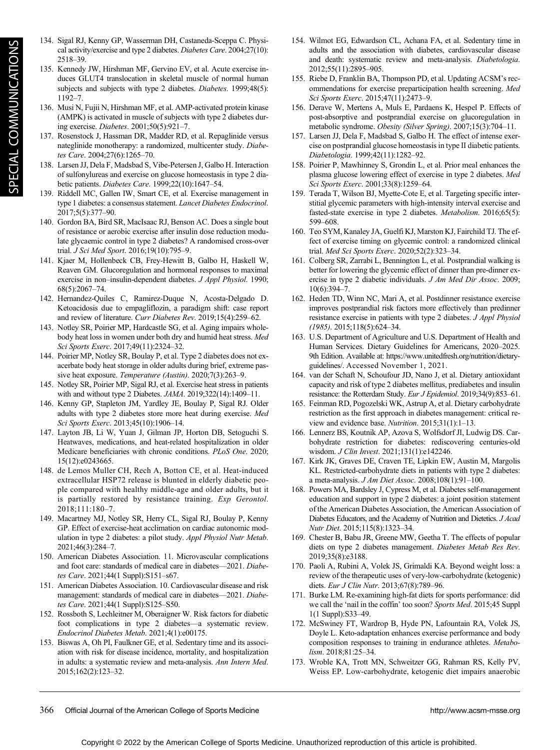- 134. Sigal RJ, Kenny GP, Wasserman DH, Castaneda-Sceppa C. Physical activity/exercise and type 2 diabetes. Diabetes Care. 2004;27(10): 2518–39.
- 135. Kennedy JW, Hirshman MF, Gervino EV, et al. Acute exercise induces GLUT4 translocation in skeletal muscle of normal human subjects and subjects with type 2 diabetes. Diabetes. 1999;48(5): 1192–7.
- 136. Musi N, Fujii N, Hirshman MF, et al. AMP-activated protein kinase (AMPK) is activated in muscle of subjects with type 2 diabetes during exercise. Diabetes. 2001;50(5):921–7.
- 137. Rosenstock J, Hassman DR, Madder RD, et al. Repaglinide versus nateglinide monotherapy: a randomized, multicenter study. Diabetes Care. 2004;27(6):1265–70.
- 138. Larsen JJ, Dela F, Madsbad S, Vibe-Petersen J, Galbo H. Interaction of sulfonylureas and exercise on glucose homeostasis in type 2 diabetic patients. Diabetes Care. 1999;22(10):1647–54.
- 139. Riddell MC, Gallen IW, Smart CE, et al. Exercise management in type 1 diabetes: a consensus statement. Lancet Diabetes Endocrinol. 2017;5(5):377–90.
- 140. Gordon BA, Bird SR, MacIsaac RJ, Benson AC. Does a single bout of resistance or aerobic exercise after insulin dose reduction modulate glycaemic control in type 2 diabetes? A randomised cross-over trial. J Sci Med Sport. 2016;19(10):795–9.
- 141. Kjaer M, Hollenbeck CB, Frey-Hewitt B, Galbo H, Haskell W, Reaven GM. Glucoregulation and hormonal responses to maximal exercise in non–insulin-dependent diabetes. J Appl Physiol. 1990; 68(5):2067–74.
- 142. Hernandez-Quiles C, Ramirez-Duque N, Acosta-Delgado D. Ketoacidosis due to empagliflozin, a paradigm shift: case report and review of literature. Curr Diabetes Rev. 2019;15(4):259–62.
- 143. Notley SR, Poirier MP, Hardcastle SG, et al. Aging impairs wholebody heat loss in women under both dry and humid heat stress. Med Sci Sports Exerc. 2017;49(11):2324–32.
- 144. Poirier MP, Notley SR, Boulay P, et al. Type 2 diabetes does not exacerbate body heat storage in older adults during brief, extreme passive heat exposure. Temperature (Austin). 2020;7(3):263-9.
- 145. Notley SR, Poirier MP, Sigal RJ, et al. Exercise heat stress in patients with and without type 2 Diabetes. JAMA. 2019;322(14):1409–11.
- 146. Kenny GP, Stapleton JM, Yardley JE, Boulay P, Sigal RJ. Older adults with type 2 diabetes store more heat during exercise. Med Sci Sports Exerc. 2013;45(10):1906–14.
- 147. Layton JB, Li W, Yuan J, Gilman JP, Horton DB, Setoguchi S. Heatwaves, medications, and heat-related hospitalization in older Medicare beneficiaries with chronic conditions. PLoS One. 2020; 15(12):e0243665.
- 148. de Lemos Muller CH, Rech A, Botton CE, et al. Heat-induced extracellular HSP72 release is blunted in elderly diabetic people compared with healthy middle-age and older adults, but it is partially restored by resistance training. Exp Gerontol. 2018;111:180–7.
- 149. Macartney MJ, Notley SR, Herry CL, Sigal RJ, Boulay P, Kenny GP. Effect of exercise-heat acclimation on cardiac autonomic modulation in type 2 diabetes: a pilot study. Appl Physiol Nutr Metab. 2021;46(3):284–7.
- 150. American Diabetes Association. 11. Microvascular complications and foot care: standards of medical care in diabetes—2021. Diabetes Care. 2021;44(1 Suppl):S151–s67.
- 151. American Diabetes Association. 10. Cardiovascular disease and risk management: standards of medical care in diabetes—2021. Diabetes Care. 2021;44(1 Suppl):S125–S50.
- 152. Rossboth S, Lechleitner M, Oberaigner W. Risk factors for diabetic foot complications in type 2 diabetes—a systematic review. Endocrinol Diabetes Metab. 2021;4(1):e00175.
- 153. Biswas A, Oh PI, Faulkner GE, et al. Sedentary time and its association with risk for disease incidence, mortality, and hospitalization in adults: a systematic review and meta-analysis. Ann Intern Med. 2015;162(2):123–32.
- 154. Wilmot EG, Edwardson CL, Achana FA, et al. Sedentary time in adults and the association with diabetes, cardiovascular disease and death: systematic review and meta-analysis. Diabetologia. 2012;55(11):2895–905.
- 155. Riebe D, Franklin BA, Thompson PD, et al. Updating ACSM's recommendations for exercise preparticipation health screening. Med Sci Sports Exerc. 2015;47(11):2473–9.
- 156. Derave W, Mertens A, Muls E, Pardaens K, Hespel P. Effects of post-absorptive and postprandial exercise on glucoregulation in metabolic syndrome. Obesity (Silver Spring). 2007;15(3):704–11.
- 157. Larsen JJ, Dela F, Madsbad S, Galbo H. The effect of intense exercise on postprandial glucose homeostasis in type II diabetic patients. Diabetologia. 1999;42(11):1282–92.
- 158. Poirier P, Mawhinney S, Grondin L, et al. Prior meal enhances the plasma glucose lowering effect of exercise in type 2 diabetes. Med Sci Sports Exerc. 2001;33(8):1259–64.
- 159. Terada T, Wilson BJ, Myette-Cote E, et al. Targeting specific interstitial glycemic parameters with high-intensity interval exercise and fasted-state exercise in type 2 diabetes. Metabolism. 2016;65(5): 599–608.
- 160. Teo SYM, Kanaley JA, Guelfi KJ, Marston KJ, Fairchild TJ. The effect of exercise timing on glycemic control: a randomized clinical trial. Med Sci Sports Exerc. 2020;52(2):323–34.
- 161. Colberg SR, Zarrabi L, Bennington L, et al. Postprandial walking is better for lowering the glycemic effect of dinner than pre-dinner exercise in type 2 diabetic individuals. J Am Med Dir Assoc. 2009; 10(6):394–7.
- 162. Heden TD, Winn NC, Mari A, et al. Postdinner resistance exercise improves postprandial risk factors more effectively than predinner resistance exercise in patients with type 2 diabetes. J Appl Physiol (1985). 2015;118(5):624–34.
- 163. U.S. Department of Agriculture and U.S. Department of Health and Human Services. Dietary Guidelines for Americans, 2020–2025. 9th Edition. Available at: [https://www.unitedfresh.org/nutrition/dietary](https://www.unitedfresh.org/nutrition/dietary-guidelines/)[guidelines/.](https://www.unitedfresh.org/nutrition/dietary-guidelines/) Accessed November 1, 2021.
- 164. van der Schaft N, Schoufour JD, Nano J, et al. Dietary antioxidant capacity and risk of type 2 diabetes mellitus, prediabetes and insulin resistance: the Rotterdam Study. Eur J Epidemiol. 2019;34(9):853-61.
- 165. Feinman RD, Pogozelski WK, Astrup A, et al. Dietary carbohydrate restriction as the first approach in diabetes management: critical review and evidence base. Nutrition. 2015;31(1):1–13.
- 166. Lennerz BS, Koutnik AP, Azova S, Wolfsdorf JI, Ludwig DS. Carbohydrate restriction for diabetes: rediscovering centuries-old wisdom. J Clin Invest. 2021;131(1):e142246.
- 167. Kirk JK, Graves DE, Craven TE, Lipkin EW, Austin M, Margolis KL. Restricted-carbohydrate diets in patients with type 2 diabetes: a meta-analysis. J Am Diet Assoc. 2008;108(1):91–100.
- 168. Powers MA, Bardsley J, Cypress M, et al. Diabetes self-management education and support in type 2 diabetes: a joint position statement of the American Diabetes Association, the American Association of Diabetes Educators, and the Academy of Nutrition and Dietetics. J Acad Nutr Diet. 2015;115(8):1323–34.
- 169. Chester B, Babu JR, Greene MW, Geetha T. The effects of popular diets on type 2 diabetes management. Diabetes Metab Res Rev. 2019;35(8):e3188.
- 170. Paoli A, Rubini A, Volek JS, Grimaldi KA. Beyond weight loss: a review of the therapeutic uses of very-low-carbohydrate (ketogenic) diets. Eur J Clin Nutr. 2013;67(8):789-96.
- 171. Burke LM. Re-examining high-fat diets for sports performance: did we call the 'nail in the coffin' too soon? Sports Med. 2015;45 Suppl 1(1 Suppl):S33–49.
- 172. McSwiney FT, Wardrop B, Hyde PN, Lafountain RA, Volek JS, Doyle L. Keto-adaptation enhances exercise performance and body composition responses to training in endurance athletes. Metabolism. 2018;81:25–34.
- 173. Wroble KA, Trott MN, Schweitzer GG, Rahman RS, Kelly PV, Weiss EP. Low-carbohydrate, ketogenic diet impairs anaerobic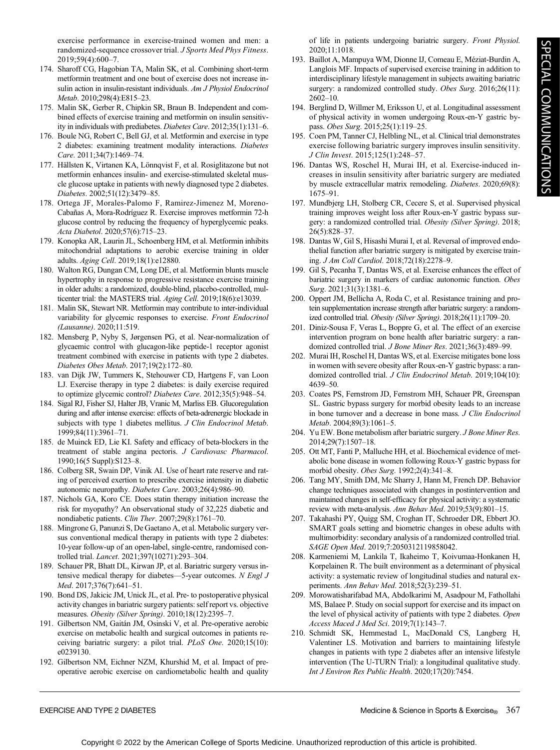exercise performance in exercise-trained women and men: a randomized-sequence crossover trial. *J Sports Med Phys Fitness*. 2019;59(4):600–7.

- 174. Sharoff CG, Hagobian TA, Malin SK, et al. Combining short-term metformin treatment and one bout of exercise does not increase insulin action in insulin-resistant individuals. Am J Physiol Endocrinol Metab. 2010;298(4):E815–23.
- 175. Malin SK, Gerber R, Chipkin SR, Braun B. Independent and combined effects of exercise training and metformin on insulin sensitivity in individuals with prediabetes. Diabetes Care. 2012;35(1):131–6.
- 176. Boule NG, Robert C, Bell GJ, et al. Metformin and exercise in type 2 diabetes: examining treatment modality interactions. Diabetes Care. 2011;34(7):1469–74.
- 177. Hällsten K, Virtanen KA, Lönnqvist F, et al. Rosiglitazone but not metformin enhances insulin- and exercise-stimulated skeletal muscle glucose uptake in patients with newly diagnosed type 2 diabetes. Diabetes. 2002;51(12):3479–85.
- 178. Ortega JF, Morales-Palomo F, Ramirez-Jimenez M, Moreno-Cabañas A, Mora-Rodríguez R. Exercise improves metformin 72-h glucose control by reducing the frequency of hyperglycemic peaks. Acta Diabetol. 2020;57(6):715–23.
- 179. Konopka AR, Laurin JL, Schoenberg HM, et al. Metformin inhibits mitochondrial adaptations to aerobic exercise training in older adults. Aging Cell. 2019;18(1):e12880.
- 180. Walton RG, Dungan CM, Long DE, et al. Metformin blunts muscle hypertrophy in response to progressive resistance exercise training in older adults: a randomized, double-blind, placebo-controlled, multicenter trial: the MASTERS trial. Aging Cell. 2019;18(6):e13039.
- 181. Malin SK, Stewart NR. Metformin may contribute to inter-individual variability for glycemic responses to exercise. Front Endocrinol (Lausanne). 2020;11:519.
- 182. Mensberg P, Nyby S, Jørgensen PG, et al. Near-normalization of glycaemic control with glucagon-like peptide-1 receptor agonist treatment combined with exercise in patients with type 2 diabetes. Diabetes Obes Metab. 2017;19(2):172–80.
- 183. van Dijk JW, Tummers K, Stehouwer CD, Hartgens F, van Loon LJ. Exercise therapy in type 2 diabetes: is daily exercise required to optimize glycemic control? Diabetes Care. 2012;35(5):948–54.
- 184. Sigal RJ, Fisher SJ, Halter JB, Vranic M, Marliss EB. Glucoregulation during and after intense exercise: effects of beta-adrenergic blockade in subjects with type 1 diabetes mellitus. J Clin Endocrinol Metab. 1999;84(11):3961–71.
- 185. de Muinck ED, Lie KI. Safety and efficacy of beta-blockers in the treatment of stable angina pectoris. J Cardiovasc Pharmacol. 1990;16(5 Suppl):S123–8.
- 186. Colberg SR, Swain DP, Vinik AI. Use of heart rate reserve and rating of perceived exertion to prescribe exercise intensity in diabetic autonomic neuropathy. Diabetes Care. 2003;26(4):986–90.
- 187. Nichols GA, Koro CE. Does statin therapy initiation increase the risk for myopathy? An observational study of 32,225 diabetic and nondiabetic patients. Clin Ther. 2007;29(8):1761–70.
- 188. Mingrone G, Panunzi S, De Gaetano A, et al. Metabolic surgery versus conventional medical therapy in patients with type 2 diabetes: 10-year follow-up of an open-label, single-centre, randomised controlled trial. Lancet. 2021;397(10271):293–304.
- 189. Schauer PR, Bhatt DL, Kirwan JP, et al. Bariatric surgery versus intensive medical therapy for diabetes—5-year outcomes. N Engl J Med. 2017;376(7):641–51.
- 190. Bond DS, Jakicic JM, Unick JL, et al. Pre- to postoperative physical activity changes in bariatric surgery patients: self report vs. objective measures. Obesity (Silver Spring). 2010;18(12):2395–7.
- 191. Gilbertson NM, Gaitán JM, Osinski V, et al. Pre-operative aerobic exercise on metabolic health and surgical outcomes in patients receiving bariatric surgery: a pilot trial. PLoS One. 2020;15(10): e0239130.
- 192. Gilbertson NM, Eichner NZM, Khurshid M, et al. Impact of preoperative aerobic exercise on cardiometabolic health and quality

of life in patients undergoing bariatric surgery. Front Physiol. 2020;11:1018.

- 193. Baillot A, Mampuya WM, Dionne IJ, Comeau E, Méziat-Burdin A, Langlois MF. Impacts of supervised exercise training in addition to interdisciplinary lifestyle management in subjects awaiting bariatric surgery: a randomized controlled study. Obes Surg. 2016;26(11): 2602–10.
- 194. Berglind D, Willmer M, Eriksson U, et al. Longitudinal assessment of physical activity in women undergoing Roux-en-Y gastric bypass. Obes Surg. 2015;25(1):119–25.
- 195. Coen PM, Tanner CJ, Helbling NL, et al. Clinical trial demonstrates exercise following bariatric surgery improves insulin sensitivity. J Clin Invest. 2015;125(1):248–57.
- 196. Dantas WS, Roschel H, Murai IH, et al. Exercise-induced increases in insulin sensitivity after bariatric surgery are mediated by muscle extracellular matrix remodeling. Diabetes. 2020;69(8): 1675–91.
- 197. Mundbjerg LH, Stolberg CR, Cecere S, et al. Supervised physical training improves weight loss after Roux-en-Y gastric bypass surgery: a randomized controlled trial. Obesity (Silver Spring). 2018; 26(5):828–37.
- 198. Dantas W, Gil S, Hisashi Murai I, et al. Reversal of improved endothelial function after bariatric surgery is mitigated by exercise training. J Am Coll Cardiol. 2018;72(18):2278–9.
- 199. Gil S, Pecanha T, Dantas WS, et al. Exercise enhances the effect of bariatric surgery in markers of cardiac autonomic function. Obes Surg. 2021;31(3):1381–6.
- 200. Oppert JM, Bellicha A, Roda C, et al. Resistance training and protein supplementation increase strength after bariatric surgery: a randomized controlled trial. Obesity (Silver Spring). 2018;26(11):1709–20.
- 201. Diniz-Sousa F, Veras L, Boppre G, et al. The effect of an exercise intervention program on bone health after bariatric surgery: a randomized controlled trial. J Bone Miner Res. 2021;36(3):489-99.
- 202. Murai IH, Roschel H, Dantas WS, et al. Exercise mitigates bone loss in women with severe obesity after Roux-en-Y gastric bypass: a randomized controlled trial. J Clin Endocrinol Metab. 2019;104(10): 4639–50.
- 203. Coates PS, Fernstrom JD, Fernstrom MH, Schauer PR, Greenspan SL. Gastric bypass surgery for morbid obesity leads to an increase in bone turnover and a decrease in bone mass. J Clin Endocrinol Metab. 2004;89(3):1061–5.
- 204. Yu EW. Bone metabolism after bariatric surgery. J Bone Miner Res. 2014;29(7):1507–18.
- 205. Ott MT, Fanti P, Malluche HH, et al. Biochemical evidence of metabolic bone disease in women following Roux-Y gastric bypass for morbid obesity. Obes Surg. 1992;2(4):341–8.
- 206. Tang MY, Smith DM, Mc Sharry J, Hann M, French DP. Behavior change techniques associated with changes in postintervention and maintained changes in self-efficacy for physical activity: a systematic review with meta-analysis. Ann Behav Med. 2019;53(9):801–15.
- 207. Takahashi PY, Quigg SM, Croghan IT, Schroeder DR, Ebbert JO. SMART goals setting and biometric changes in obese adults with multimorbidity: secondary analysis of a randomized controlled trial. SAGE Open Med. 2019;7:2050312119858042.
- 208. Karmeniemi M, Lankila T, Ikaheimo T, Koivumaa-Honkanen H, Korpelainen R. The built environment as a determinant of physical activity: a systematic review of longitudinal studies and natural experiments. Ann Behav Med. 2018;52(3):239–51.
- 209. Morowatisharifabad MA, Abdolkarimi M, Asadpour M, Fathollahi MS, Balaee P. Study on social support for exercise and its impact on the level of physical activity of patients with type 2 diabetes. Open Access Maced J Med Sci. 2019;7(1):143–7.
- 210. Schmidt SK, Hemmestad L, MacDonald CS, Langberg H, Valentiner LS. Motivation and barriers to maintaining lifestyle changes in patients with type 2 diabetes after an intensive lifestyle intervention (The U-TURN Trial): a longitudinal qualitative study. Int J Environ Res Public Health. 2020;17(20):7454.